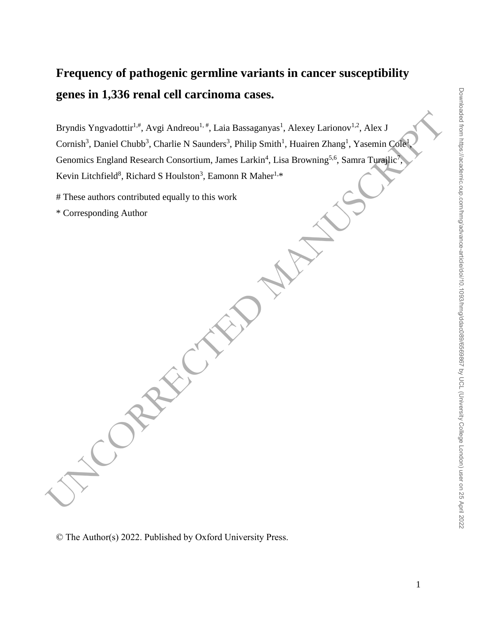# **Frequency of pathogenic germline variants in cancer susceptibility genes in 1,336 renal cell carcinoma cases.**

Bryndis Yngvadottir<sup>1,4</sup>, Avgi Andreou<sup>1,2</sup>, Lais Bassignnyis<sup>1</sup>, Alexey Larionov<sup>1,2</sup>, Alex J<br>Cornish<sup>4</sup>. Daniel Chubb<sup>1</sup>, Charlie N Saunders<sup>1</sup>, Philip Smith<sup>1</sup>, Hauken Zhang<sup>1</sup>, Yasemin CoR<br>Genomics England Research Con Bryndis Yngvadottir<sup>1,#</sup>, Avgi Andreou<sup>1,#</sup>, Laia Bassaganyas<sup>1</sup>, Alexey Larionov<sup>1,2</sup>, Alex J Cornish<sup>3</sup>, Daniel Chubb<sup>3</sup>, Charlie N Saunders<sup>3</sup>, Philip Smith<sup>1</sup>, Huairen Zhang<sup>1</sup>, Yasemin Cole<sup>1</sup> Genomics England Research Consortium, James Larkin<sup>4</sup>, Lisa Browning<sup>5,6</sup>, Samra Turajlic<sup>7</sup> , Kevin Litchfield<sup>8</sup>, Richard S Houlston<sup>3</sup>, Eamonn R Maher<sup>1,\*</sup>

# These authors contributed equally to this work

\* Corresponding Author

,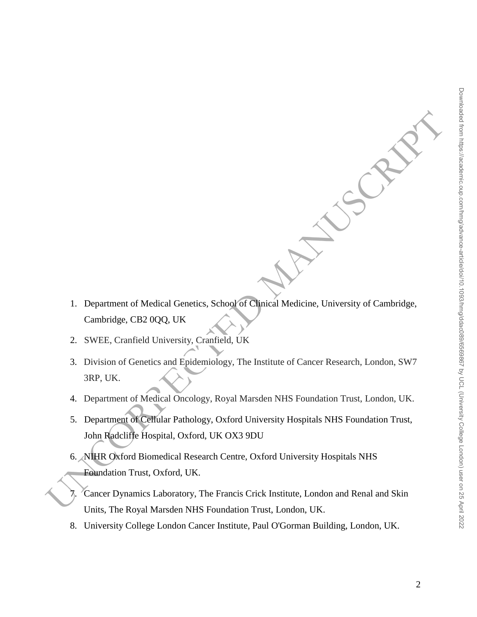- 1. Department of Medical Genetics, School of Clinical Medicine, University of Cambridge, Cambridge, CB2 0QQ, UK
- 2. SWEE, Cranfield University, Cranfield, UK
- 3. Division of Genetics and Epidemiology, The Institute of Cancer Research, London, SW7 3RP, UK.
- 4. Department of Medical Oncology, Royal Marsden NHS Foundation Trust, London, UK.
- 1. Department of Medical Genetics, School of Clarical Medicine, University of Cambridge,<br>
Cambridge, CB2 0QQ, UK<br>
2. SWEE, Cramfield University, Cramfield, UK<br>
3. Division of Genetics and Fridemiology, The Institute of Cam 5. Department of Cellular Pathology, Oxford University Hospitals NHS Foundation Trust, John Radcliffe Hospital, Oxford, UK OX3 9DU
	- 6. NIHR Oxford Biomedical Research Centre, Oxford University Hospitals NHS Foundation Trust, Oxford, UK.
	- 7. Cancer Dynamics Laboratory, The Francis Crick Institute, London and Renal and Skin Units, The Royal Marsden NHS Foundation Trust, London, UK.
	- 8. University College London Cancer Institute, Paul O'Gorman Building, London, UK.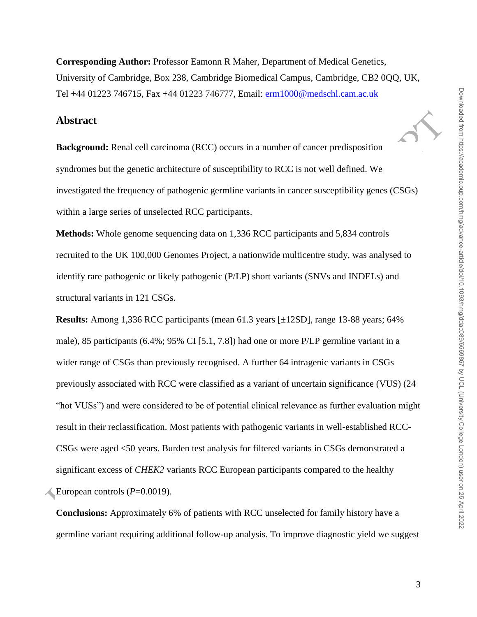**Corresponding Author:** Professor Eamonn R Maher, Department of Medical Genetics, University of Cambridge, Box 238, Cambridge Biomedical Campus, Cambridge, CB2 0QQ, UK, Tel +44 01223 746715, Fax +44 01223 746777, Email: [erm1000@medschl.cam.ac.uk](mailto:erm1000@medschl.cam.ac.uk)

#### **Abstract**

**Background:** Renal cell carcinoma (RCC) occurs in a number of cancer predisposition syndromes but the genetic architecture of susceptibility to RCC is not well defined. We investigated the frequency of pathogenic germline variants in cancer susceptibility genes (CSGs) within a large series of unselected RCC participants.

**Methods:** Whole genome sequencing data on 1,336 RCC participants and 5,834 controls recruited to the UK 100,000 Genomes Project, a nationwide multicentre study, was analysed to identify rare pathogenic or likely pathogenic (P/LP) short variants (SNVs and INDELs) and structural variants in 121 CSGs.

**Abstract**<br> **Rackground:** Renal cell carcinoma (RCC) occurs in a number of cancer predisposition<br>
syndromes but the genetic architecture of susceptibility to RCC is not well defined. We<br>
investigated the frequency of path **Results:** Among 1,336 RCC participants (mean 61.3 years [±12SD], range 13-88 years; 64% male), 85 participants (6.4%; 95% CI [5.1, 7.8]) had one or more P/LP germline variant in a wider range of CSGs than previously recognised. A further 64 intragenic variants in CSGs previously associated with RCC were classified as a variant of uncertain significance (VUS) (24 "hot VUSs") and were considered to be of potential clinical relevance as further evaluation might result in their reclassification. Most patients with pathogenic variants in well-established RCC-CSGs were aged <50 years. Burden test analysis for filtered variants in CSGs demonstrated a significant excess of *CHEK2* variants RCC European participants compared to the healthy European controls ( $P=0.0019$ ).

**Conclusions:** Approximately 6% of patients with RCC unselected for family history have a germline variant requiring additional follow-up analysis. To improve diagnostic yield we suggest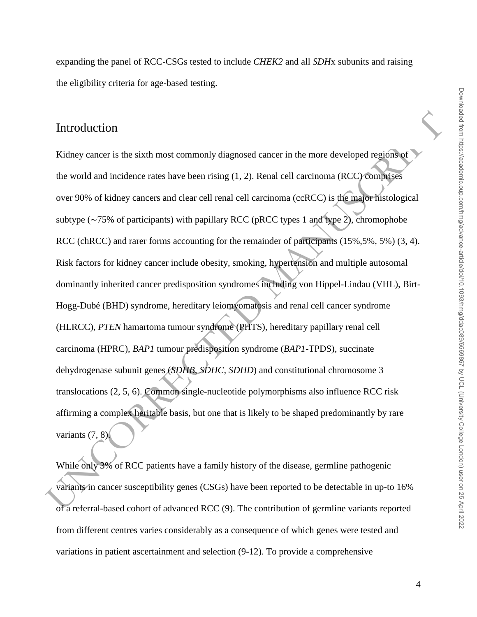### Introduction

Introduction<br>
Kidney enneer is the sixth most commonly diagnosed cancer in the more developed regions of<br>
the world and incidence rates have been rising (1, 2). Renal cell carcinoma (RCC) compages<br>
over 90% of kidney canc Kidney cancer is the sixth most commonly diagnosed cancer in the more developed regions of the world and incidence rates have been rising (1, 2). Renal cell carcinoma (RCC) comprises over 90% of kidney cancers and clear cell renal cell carcinoma (ccRCC) is the major histological subtype (∼75% of participants) with papillary RCC (pRCC types 1 and type 2), chromophobe RCC (chRCC) and rarer forms accounting for the remainder of participants (15%, 5%, 5%) (3, 4). Risk factors for kidney cancer include obesity, smoking, hypertension and multiple autosomal dominantly inherited cancer predisposition syndromes including von Hippel-Lindau (VHL), Birt-Hogg-Dubé (BHD) syndrome, hereditary leiomyomatosis and renal cell cancer syndrome (HLRCC), *PTEN* hamartoma tumour syndrome (PHTS), hereditary papillary renal cell carcinoma (HPRC), *BAP1* tumour predisposition syndrome (*BAP1*-TPDS), succinate dehydrogenase subunit genes (*SDHB, SDHC, SDHD*) and constitutional chromosome 3 translocations (2, 5, 6). Common single-nucleotide polymorphisms also influence RCC risk affirming a complex heritable basis, but one that is likely to be shaped predominantly by rare variants  $(7, 8)$ .

While only 3% of RCC patients have a family history of the disease, germline pathogenic variants in cancer susceptibility genes (CSGs) have been reported to be detectable in up-to 16% of a referral-based cohort of advanced RCC (9). The contribution of germline variants reported from different centres varies considerably as a consequence of which genes were tested and variations in patient ascertainment and selection (9-12). To provide a comprehensive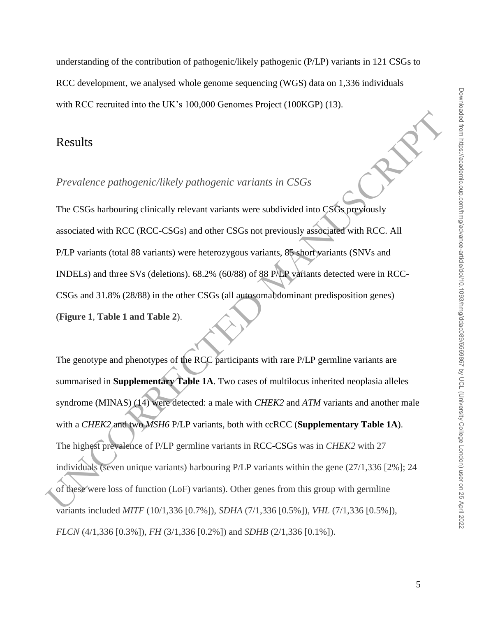understanding of the contribution of pathogenic/likely pathogenic (P/LP) variants in 121 CSGs to RCC development, we analysed whole genome sequencing (WGS) data on 1,336 individuals with RCC recruited into the UK's 100,000 Genomes Project (100KGP) (13).

#### Results

#### *Prevalence pathogenic/likely pathogenic variants in CSGs*

The CSGs harbouring clinically relevant variants were subdivided into CSGs previously associated with RCC (RCC-CSGs) and other CSGs not previously associated with RCC. All P/LP variants (total 88 variants) were heterozygous variants, 85 short variants (SNVs and INDELs) and three SVs (deletions). 68.2% (60/88) of 88 P/LP variants detected were in RCC-CSGs and 31.8% (28/88) in the other CSGs (all autosomal dominant predisposition genes) (**Figure 1**, **Table 1 and Table 2**).

Results<br> *Prevalence pathogenic/likely pathogenic variants in CSGs*<br>
The CSGs harbouring clinically relevant variants were subdivided into CSGs previously<br>
associated with RCC (RCC-CSGs) and other CSGs not previously asso The genotype and phenotypes of the RCC participants with rare P/LP germline variants are summarised in **Supplementary Table 1A**. Two cases of multilocus inherited neoplasia alleles syndrome (MINAS) (14) were detected: a male with *CHEK2* and *ATM* variants and another male with a *CHEK2* and two *MSH6* P/LP variants, both with ccRCC (**Supplementary Table 1A**). The highest prevalence of P/LP germline variants in RCC-CSGs was in *CHEK2* with 27 individuals (seven unique variants) harbouring P/LP variants within the gene (27/1,336 [2%]; 24 of these were loss of function (LoF) variants). Other genes from this group with germline variants included *MITF* (10/1,336 [0.7%]), *SDHA* (7/1,336 [0.5%]), *VHL* (7/1,336 [0.5%]), *FLCN* (4/1,336 [0.3%]), *FH* (3/1,336 [0.2%]) and *SDHB* (2/1,336 [0.1%]).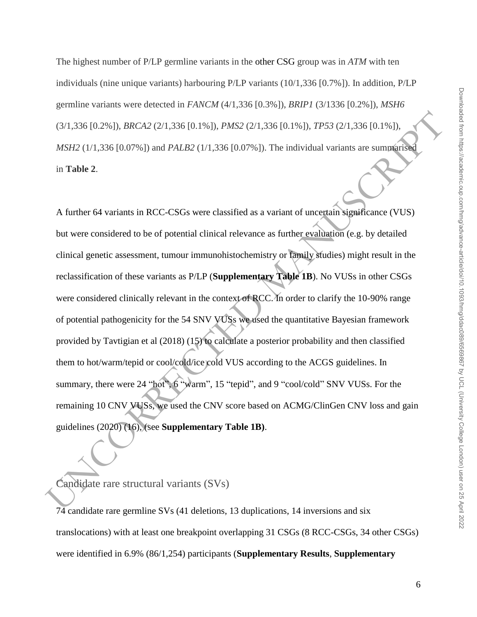The highest number of P/LP germline variants in the other CSG group was in *ATM* with ten individuals (nine unique variants) harbouring P/LP variants (10/1,336 [0.7%]). In addition, P/LP germline variants were detected in *FANCM* (4/1,336 [0.3%]), *BRIP1* (3/1336 [0.2%]), *MSH6* (3/1,336 [0.2%]), *BRCA2* (2/1,336 [0.1%]), *PMS2* (2/1,336 [0.1%]), *TP53* (2/1,336 [0.1%]), *MSH2* (1/1,336 [0.07%]) and *PALB2* (1/1,336 [0.07%]). The individual variants are summarised in **Table 2**.

(3/1,336 [0.2%]), *BRCA2* (2/1,336 [0.1%]), *PMS2* (2/1,336 [0.1%]), *PFS3* (2/1,336 [0.1%]), *BBSH*<br>
2017.336 [0.07%]) and *PALB2* (1/1,336 [0.07%]). The individual variants are summigriful<br>
in Table 2.<br>
A further 64 var A further 64 variants in RCC-CSGs were classified as a variant of uncertain significance (VUS) but were considered to be of potential clinical relevance as further evaluation (e.g. by detailed clinical genetic assessment, tumour immunohistochemistry or family studies) might result in the reclassification of these variants as P/LP (**Supplementary Table 1B**). No VUSs in other CSGs were considered clinically relevant in the context of RCC. In order to clarify the 10-90% range of potential pathogenicity for the 54 SNV VUSs we used the quantitative Bayesian framework provided by Tavtigian et al (2018) (15) to calculate a posterior probability and then classified them to hot/warm/tepid or cool/cold/ice cold VUS according to the ACGS guidelines. In summary, there were 24 "hot", 6 "warm", 15 "tepid", and 9 "cool/cold" SNV VUSs. For the remaining 10 CNV VUSs, we used the CNV score based on ACMG/ClinGen CNV loss and gain guidelines (2020) (16), (see **Supplementary Table 1B)**.

#### Candidate rare structural variants (SVs)

 $74$  candidate rare germline SVs (41 deletions, 13 duplications, 14 inversions and six translocations) with at least one breakpoint overlapping 31 CSGs (8 RCC-CSGs, 34 other CSGs) were identified in 6.9% (86/1,254) participants (**Supplementary Results**, **Supplementary**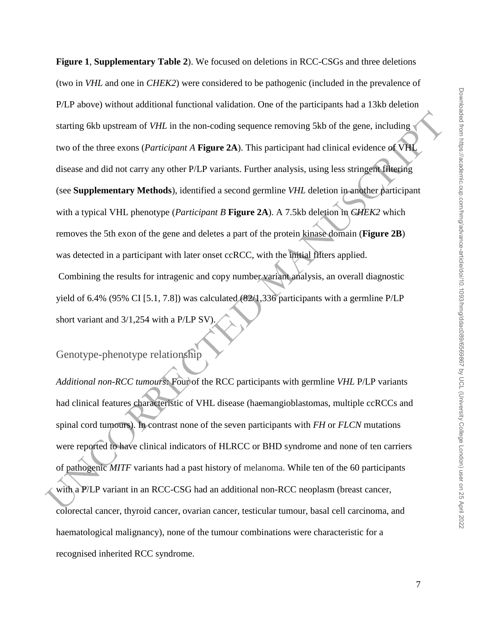starting 6kh upstream of *VHL*, in the non-coding sequence removing 5kh of the gene, including<br>two of the three exons (*Participant A* **Figure 2A**). This participant had clinical evidence of VHL<br>discuss and did not carry **Figure 1**, **Supplementary Table 2**). We focused on deletions in RCC-CSGs and three deletions (two in *VHL* and one in *CHEK2*) were considered to be pathogenic (included in the prevalence of P/LP above) without additional functional validation. One of the participants had a 13kb deletion starting 6kb upstream of *VHL* in the non-coding sequence removing 5kb of the gene, including two of the three exons (*Participant A* **Figure 2A**). This participant had clinical evidence of VHL disease and did not carry any other P/LP variants. Further analysis, using less stringent filtering (see **Supplementary Methods**), identified a second germline *VHL* deletion in another participant with a typical VHL phenotype (*Participant B* **Figure 2A**). A 7.5kb deletion in *CHEK2* which removes the 5th exon of the gene and deletes a part of the protein kinase domain (**Figure 2B**) was detected in a participant with later onset ccRCC, with the initial filters applied. Combining the results for intragenic and copy number variant analysis, an overall diagnostic yield of 6.4% (95% CI [5.1, 7.8]) was calculated (82/1,336 participants with a germline P/LP short variant and 3/1,254 with a P/LP SV).

# Genotype-phenotype relationship

Additional non-RCC tumours: Four of the RCC participants with germline *VHL* P/LP variants had clinical features characteristic of VHL disease (haemangioblastomas, multiple ccRCCs and spinal cord tumours). In contrast none of the seven participants with *FH* or *FLCN* mutations were reported to have clinical indicators of HLRCC or BHD syndrome and none of ten carriers of pathogenic *MITF* variants had a past history of melanoma. While ten of the 60 participants with a P/LP variant in an RCC-CSG had an additional non-RCC neoplasm (breast cancer, colorectal cancer, thyroid cancer, ovarian cancer, testicular tumour, basal cell carcinoma, and haematological malignancy), none of the tumour combinations were characteristic for a recognised inherited RCC syndrome.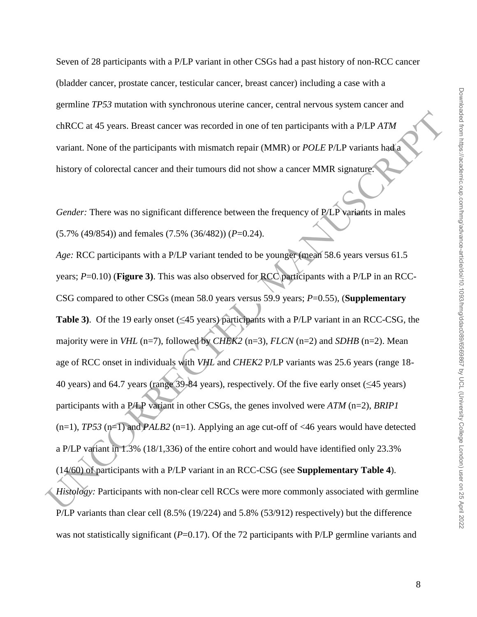Seven of 28 participants with a P/LP variant in other CSGs had a past history of non-RCC cancer (bladder cancer, prostate cancer, testicular cancer, breast cancer) including a case with a germline *TP53* mutation with synchronous uterine cancer, central nervous system cancer and chRCC at 45 years. Breast cancer was recorded in one of ten participants with a P/LP *ATM* variant. None of the participants with mismatch repair (MMR) or *POLE* P/LP variants had a history of colorectal cancer and their tumours did not show a cancer MMR signature.

*Gender:* There was no significant difference between the frequency of P/LP variants in males (5.7% (49/854)) and females (7.5% (36/482)) (*P*=0.24).

chRCC at 45 years. Breast cancer was recorded in one of ten participants with a PAP A7M<br>variant. None of the participants with mismatch repair (MMR) or *POLE PILP* variants head<br>istory of colorectal cancer and their tumou *Age:* RCC participants with a P/LP variant tended to be younger (mean 58.6 years versus 61.5 years; *P*=0.10) (**Figure 3)**. This was also observed for RCC participants with a P/LP in an RCC-CSG compared to other CSGs (mean 58.0 years versus 59.9 years; *P*=0.55), (**Supplementary Table 3)**. Of the 19 early onset (≤45 years) participants with a P/LP variant in an RCC-CSG, the majority were in *VHL* (n=7), followed by *CHEK2* (n=3), *FLCN* (n=2) and *SDHB* (n=2). Mean age of RCC onset in individuals with *VHL* and *CHEK2* P/LP variants was 25.6 years (range 18- 40 years) and 64.7 years (range 39-84 years), respectively. Of the five early onset (≤45 years) participants with a P/LP variant in other CSGs, the genes involved were *ATM* (n=2), *BRIP1*  $(n=1)$ , *TP53*  $(n=1)$  and *PALB2*  $(n=1)$ . Applying an age cut-off of <46 years would have detected a P/LP variant in 1.3% (18/1,336) of the entire cohort and would have identified only 23.3% (14/60) of participants with a P/LP variant in an RCC-CSG (see **Supplementary Table 4**). *Histology:* Participants with non-clear cell RCCs were more commonly associated with germline P/LP variants than clear cell (8.5% (19/224) and 5.8% (53/912) respectively) but the difference was not statistically significant (*P*=0.17). Of the 72 participants with P/LP germline variants and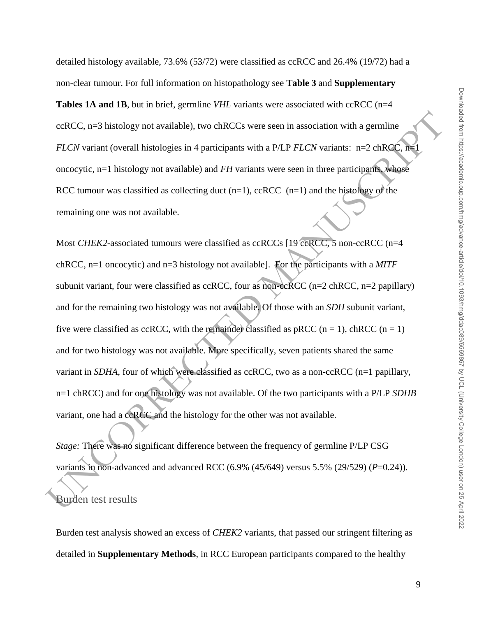detailed histology available, 73.6% (53/72) were classified as ccRCC and 26.4% (19/72) had a non-clear tumour. For full information on histopathology see **Table 3** and **Supplementary Tables 1A and 1B**, but in brief, germline *VHL* variants were associated with ccRCC (n=4 ccRCC, n=3 histology not available), two chRCCs were seen in association with a germline *FLCN* variant (overall histologies in 4 participants with a P/LP *FLCN* variants: n=2 chRCC, n=1 oncocytic, n=1 histology not available) and *FH* variants were seen in three participants, whose RCC tumour was classified as collecting duct  $(n=1)$ , ccRCC  $(n=1)$  and the histology of the remaining one was not available.

ccRCC, n-3 histology rot available), two chRCCs were seen in association with a germline<br>
FLCN variant (overall histologies in 4 participants with a P/LP FLCN variants: n-2 chRQC: n<br>
oncocytic, n-1 histology not available Most *CHEK2*-associated tumours were classified as ccRCCs [19 ccRCC, 5 non-ccRCC (n=4 chRCC, n=1 oncocytic) and n=3 histology not available]. For the participants with a *MITF* subunit variant, four were classified as ccRCC, four as non-ccRCC (n=2 chRCC, n=2 papillary) and for the remaining two histology was not available. Of those with an *SDH* subunit variant, five were classified as ccRCC, with the remainder classified as pRCC (n = 1), chRCC (n = 1) and for two histology was not available. More specifically, seven patients shared the same variant in *SDHA*, four of which were classified as ccRCC, two as a non-ccRCC (n=1 papillary, n=1 chRCC) and for one histology was not available. Of the two participants with a P/LP *SDHB* variant, one had a ccRCC and the histology for the other was not available.

*Stage:* There was no significant difference between the frequency of germline P/LP CSG variants in non-advanced and advanced RCC (6.9% (45/649) versus 5.5% (29/529) (*P*=0.24)).

#### Burden test results

Burden test analysis showed an excess of *CHEK2* variants, that passed our stringent filtering as detailed in **Supplementary Methods**, in RCC European participants compared to the healthy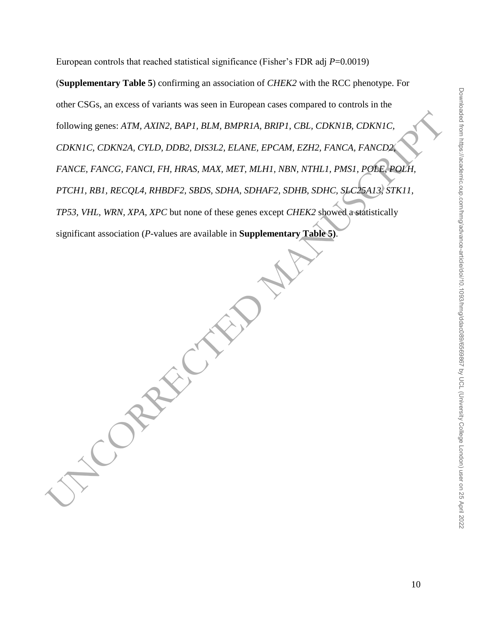European controls that reached statistical significance (Fisher's FDR adj *P*=0.0019)

Following genes: ATM, AXIN2, BAPI, BIM, BMPRIA, BRIPI, CBI, CDKNIB, CDKNIC, CDKNIC, CDKNIC, CDKNIC, CDKNIC, PANCCR, CHID, DDB2, DIS312, ELANE, EPCAM, EZH2, FANCA, FANCIDA<br>FANCE, FANCG, FANCI, FH, HRAS, MAX, MET, MIHI, NBN, (**Supplementary Table 5**) confirming an association of *CHEK2* with the RCC phenotype. For other CSGs, an excess of variants was seen in European cases compared to controls in the following genes: *ATM, AXIN2, BAP1, BLM, BMPR1A, BRIP1, CBL, CDKN1B, CDKN1C, CDKN1C, CDKN2A, CYLD, DDB2, DIS3L2, ELANE, EPCAM, EZH2, FANCA, FANCD2, FANCE, FANCG, FANCI, FH, HRAS, MAX, MET, MLH1, NBN, NTHL1, PMS1, POLE, POLH, PTCH1, RB1, RECQL4, RHBDF2, SBDS, SDHA, SDHAF2, SDHB, SDHC, SLC25A13, STK11, TP53, VHL, WRN, XPA, XPC* but none of these genes except *CHEK2* showed a statistically significant association (*P*-values are available in **Supplementary Table 5)**.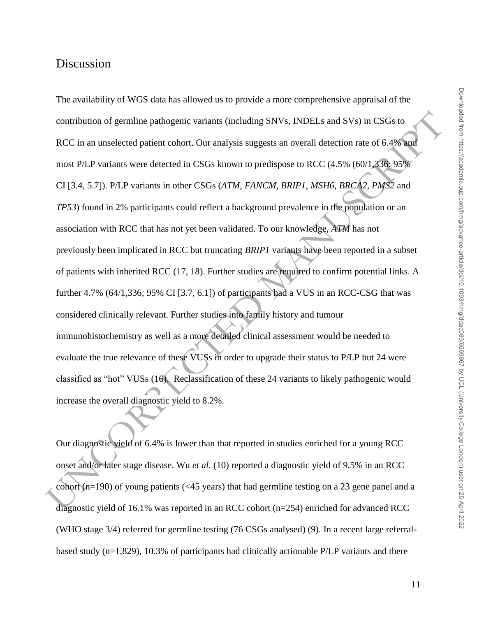# Discussion

contribution of germline pathogenic variants (including SNVs, INDELs and SVs) in CSGs to<br>RCC in an unselected patient cohort. Our analysis suggests an overall detection rate of 6.4% had<br>most PLP variants were detected in The availability of WGS data has allowed us to provide a more comprehensive appraisal of the contribution of germline pathogenic variants (including SNVs, INDELs and SVs) in CSGs to RCC in an unselected patient cohort. Our analysis suggests an overall detection rate of 6.4% and most P/LP variants were detected in CSGs known to predispose to RCC (4.5% (60/1,336; 95% CI [3.4, 5.7]). P/LP variants in other CSGs (*ATM, FANCM, BRIP1, MSH6, BRCA2, PMS2* and *TP53*) found in 2% participants could reflect a background prevalence in the population or an association with RCC that has not yet been validated. To our knowledge, *ATM* has not previously been implicated in RCC but truncating *BRIP1* variants have been reported in a subset of patients with inherited RCC (17, 18). Further studies are required to confirm potential links. A further 4.7%  $(64/1,336; 95\% \text{ CI} [3.7, 6.1])$  of participants had a VUS in an RCC-CSG that was considered clinically relevant. Further studies into family history and tumour immunohistochemistry as well as a more detailed clinical assessment would be needed to evaluate the true relevance of these VUSs in order to upgrade their status to P/LP but 24 were classified as "hot" VUSs (16). Reclassification of these 24 variants to likely pathogenic would increase the overall diagnostic yield to 8.2%.

Our diagnostic yield of 6.4% is lower than that reported in studies enriched for a young RCC onset and/or later stage disease. Wu *et al.* (10) reported a diagnostic yield of 9.5% in an RCC cohort (n=190) of young patients (<45 years) that had germline testing on a 23 gene panel and a diagnostic yield of 16.1% was reported in an RCC cohort (n=254) enriched for advanced RCC (WHO stage 3/4) referred for germline testing (76 CSGs analysed) (9). In a recent large referralbased study (n=1,829), 10.3% of participants had clinically actionable P/LP variants and there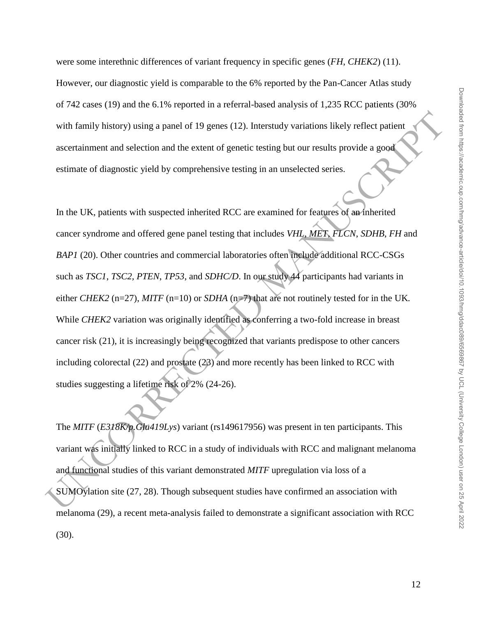were some interethnic differences of variant frequency in specific genes (*FH*, *CHEK2*) (11). However, our diagnostic yield is comparable to the 6% reported by the Pan-Cancer Atlas study of 742 cases (19) and the 6.1% reported in a referral-based analysis of 1,235 RCC patients (30% with family history) using a panel of 19 genes (12). Interstudy variations likely reflect patient ascertainment and selection and the extent of genetic testing but our results provide a good estimate of diagnostic yield by comprehensive testing in an unselected series.

with family history) using a panel of 19 genes (12). Interstudy variations likely reflect patient<br>assertainment and selection and the extent of genetic testing but our results provide a good<br>estimate of diagnostic yield b In the UK, patients with suspected inherited RCC are examined for features of an inherited cancer syndrome and offered gene panel testing that includes *VHL*, *MET*, *FLCN*, *SDHB*, *FH* and *BAP1* (20). Other countries and commercial laboratories often include additional RCC-CSGs such as *TSC1*, *TSC2, PTEN*, *TP53*, and *SDHC/D*. In our study 44 participants had variants in either *CHEK2* (n=27), *MITF* (n=10) or *SDHA* (n=7) that are not routinely tested for in the UK. While *CHEK2* variation was originally identified as conferring a two-fold increase in breast cancer risk (21), it is increasingly being recognized that variants predispose to other cancers including colorectal (22) and prostate (23) and more recently has been linked to RCC with studies suggesting a lifetime risk of 2% (24-26).

The *MITF* (*E318K/p.Glu419Lys*) variant (rs149617956) was present in ten participants. This variant was initially linked to RCC in a study of individuals with RCC and malignant melanoma and functional studies of this variant demonstrated *MITF* upregulation via loss of a SUMOylation site (27, 28). Though subsequent studies have confirmed an association with melanoma (29), a recent meta-analysis failed to demonstrate a significant association with RCC (30).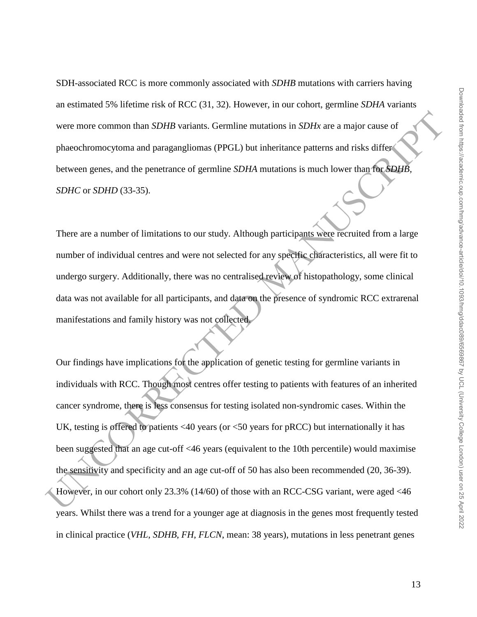SDH-associated RCC is more commonly associated with *SDHB* mutations with carriers having an estimated 5% lifetime risk of RCC (31, 32). However, in our cohort, germline *SDHA* variants were more common than *SDHB* variants. Germline mutations in *SDHx* are a major cause of phaeochromocytoma and paragangliomas (PPGL) but inheritance patterns and risks differ between genes, and the penetrance of germline *SDHA* mutations is much lower than for *SDHB, SDHC* or *SDHD* (33-35).

There are a number of limitations to our study. Although participants were recruited from a large number of individual centres and were not selected for any specific characteristics, all were fit to undergo surgery. Additionally, there was no centralised review of histopathology, some clinical data was not available for all participants, and data on the presence of syndromic RCC extrarenal manifestations and family history was not collected.

were more common than *SDHH* variants. Germline mutations in *SDHx* are a major cause of<br>phasechromocytom and paragangliomas (PPGL) but inheritance patterns and risks different<br>between genes, and the penetrance of germlin Our findings have implications for the application of genetic testing for germline variants in individuals with RCC. Though most centres offer testing to patients with features of an inherited cancer syndrome, there is less consensus for testing isolated non-syndromic cases. Within the UK, testing is offered to patients <40 years (or <50 years for pRCC) but internationally it has been suggested that an age cut-off <46 years (equivalent to the 10th percentile) would maximise the sensitivity and specificity and an age cut-off of 50 has also been recommended (20, 36-39). However, in our cohort only 23.3% (14/60) of those with an RCC-CSG variant, were aged <46 years. Whilst there was a trend for a younger age at diagnosis in the genes most frequently tested in clinical practice (*VHL*, *SDHB*, *FH*, *FLCN*, mean: 38 years), mutations in less penetrant genes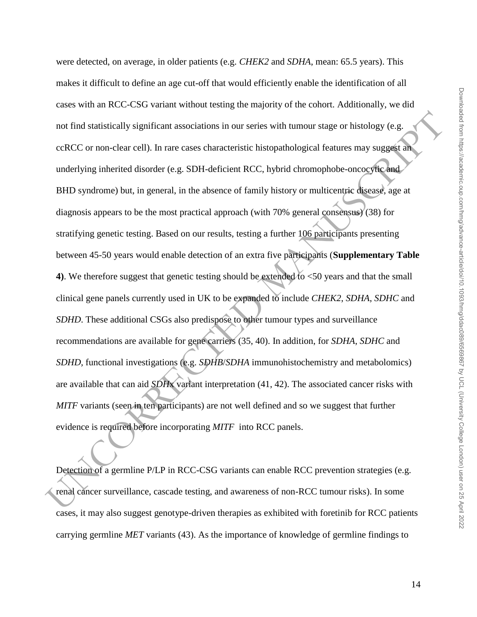not find staristically significant associations in our series with tumour stage or histology (e.g.<br>
ccRCC or non-clear cell). In rare cases characteristic histopathological features may suggest and<br>
underlying inherited d were detected, on average, in older patients (e.g. *CHEK2* and *SDHA*, mean: 65.5 years). This makes it difficult to define an age cut-off that would efficiently enable the identification of all cases with an RCC-CSG variant without testing the majority of the cohort. Additionally, we did not find statistically significant associations in our series with tumour stage or histology (e.g. ccRCC or non-clear cell). In rare cases characteristic histopathological features may suggest an underlying inherited disorder (e.g. SDH-deficient RCC, hybrid chromophobe-oncocytic and BHD syndrome) but, in general, in the absence of family history or multicentric disease, age at diagnosis appears to be the most practical approach (with 70% general consensus) (38) for stratifying genetic testing. Based on our results, testing a further 106 participants presenting between 45-50 years would enable detection of an extra five participants (**Supplementary Table 4)**. We therefore suggest that genetic testing should be extended to <50 years and that the small clinical gene panels currently used in UK to be expanded to include *CHEK2*, *SDHA*, *SDHC* and *SDHD*. These additional CSGs also predispose to other tumour types and surveillance recommendations are available for gene carriers (35, 40). In addition, for *SDHA*, *SDHC* and *SDHD*, functional investigations (e.g. *SDHB*/*SDHA* immunohistochemistry and metabolomics) are available that can aid *SDH*x variant interpretation (41, 42). The associated cancer risks with *MITF* variants (seen in ten participants) are not well defined and so we suggest that further evidence is required before incorporating *MITF* into RCC panels.

Detection of a germline P/LP in RCC-CSG variants can enable RCC prevention strategies (e.g. renal cancer surveillance, cascade testing, and awareness of non-RCC tumour risks). In some cases, it may also suggest genotype-driven therapies as exhibited with foretinib for RCC patients carrying germline *MET* variants (43). As the importance of knowledge of germline findings to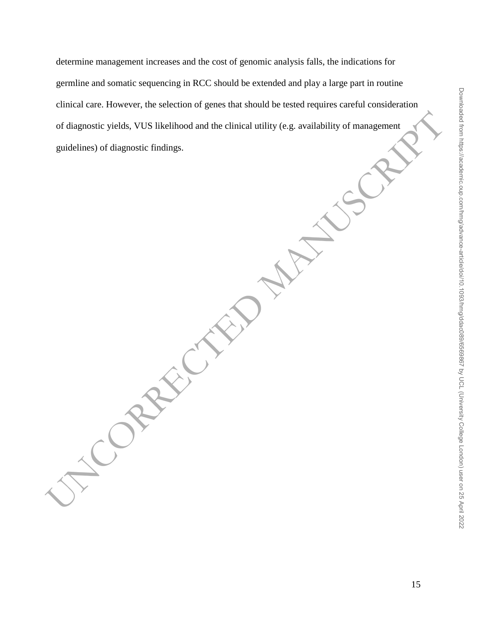of diagnostic yields, VUS likelihood and the clinical utility (e.g. availability of management<br>guidelines) of diagnostic findings.<br>and the clinical utility of the second container of the second container of the second cont determine management increases and the cost of genomic analysis falls, the indications for germline and somatic sequencing in RCC should be extended and play a large part in routine clinical care. However, the selection of genes that should be tested requires careful consideration of diagnostic yields, VUS likelihood and the clinical utility (e.g. availability of management guidelines) of diagnostic findings.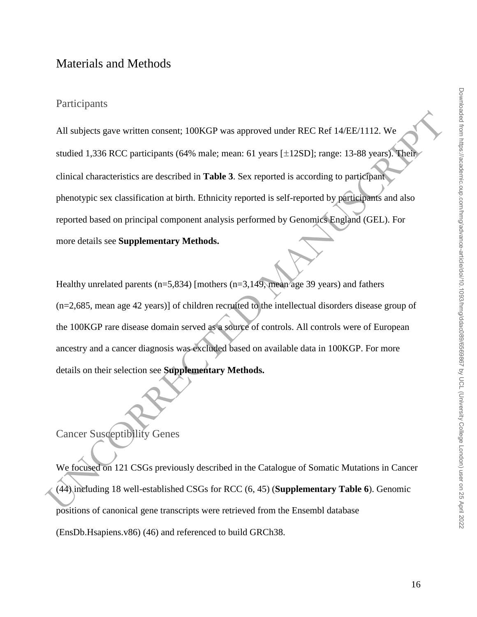# Materials and Methods

#### Participants

All subjects gave written consent. 100KGP was approved under REC Ref 14/EE/1112. We<br>sudied 1,336 RCC participants (64% male: mean: 61 years [±12SD]; range: 13-88 years). The<br>clinical characteristics are described in Table All subjects gave written consent; 100KGP was approved under REC Ref 14/EE/1112. We studied 1,336 RCC participants (64% male; mean: 61 years [±12SD]; range: 13-88 years). Their clinical characteristics are described in **Table 3**. Sex reported is according to participant phenotypic sex classification at birth. Ethnicity reported is self-reported by participants and also reported based on principal component analysis performed by Genomics England (GEL). For more details see **Supplementary Methods.** 

Healthy unrelated parents ( $n=5,834$ ) [mothers ( $n=3,149$ ), mean age 39 years) and fathers (n=2,685, mean age 42 years)] of children recruited to the intellectual disorders disease group of the 100KGP rare disease domain served as a source of controls. All controls were of European ancestry and a cancer diagnosis was excluded based on available data in 100KGP. For more details on their selection see **Supplementary Methods.** 

# Cancer Susceptibility Genes

We focused on 121 CSGs previously described in the Catalogue of Somatic Mutations in Cancer (44) including 18 well-established CSGs for RCC (6, 45) (**Supplementary Table 6**). Genomic positions of canonical gene transcripts were retrieved from the Ensembl database (EnsDb.Hsapiens.v86) (46) and referenced to build GRCh38.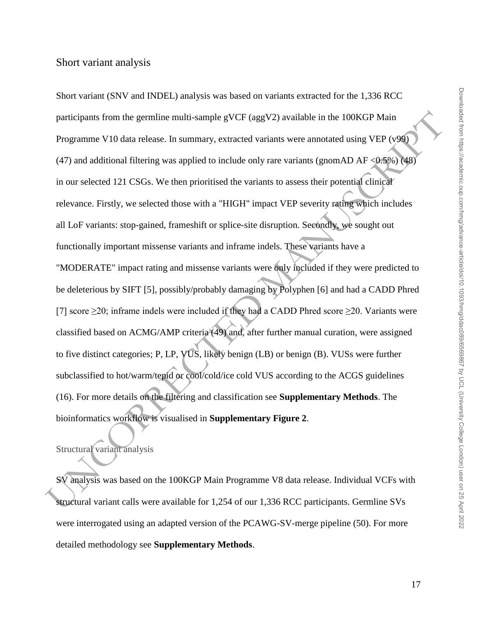participants from the germline multi-sample gVCF (aggV2) available in the 100KGP Main<br>
Programme V10 data release. In summary, extracted variants were annotated using VEP (v90)<br>
(47) and additional filtering was applied t Short variant (SNV and INDEL) analysis was based on variants extracted for the 1,336 RCC participants from the germline multi-sample gVCF (aggV2) available in the 100KGP Main Programme V10 data release. In summary, extracted variants were annotated using VEP (v99) (47) and additional filtering was applied to include only rare variants (gnomAD AF < $0.5\%$ ) (48) in our selected 121 CSGs. We then prioritised the variants to assess their potential clinical relevance. Firstly, we selected those with a "HIGH" impact VEP severity rating which includes all LoF variants: stop-gained, frameshift or splice-site disruption. Secondly, we sought out functionally important missense variants and inframe indels. These variants have a "MODERATE" impact rating and missense variants were only included if they were predicted to be deleterious by SIFT [5], possibly/probably damaging by Polyphen [6] and had a CADD Phred [7] score ≥20; inframe indels were included if they had a CADD Phred score ≥20. Variants were classified based on ACMG/AMP criteria (49) and, after further manual curation, were assigned to five distinct categories; P, LP, VUS, likely benign (LB) or benign (B). VUSs were further subclassified to hot/warm/tepid or cool/cold/ice cold VUS according to the ACGS guidelines (16). For more details on the filtering and classification see **Supplementary Methods**. The bioinformatics workflow is visualised in **Supplementary Figure 2**.

### Structural variant analysis

SV analysis was based on the 100KGP Main Programme V8 data release. Individual VCFs with structural variant calls were available for 1,254 of our 1,336 RCC participants. Germline SVs were interrogated using an adapted version of the PCAWG-SV-merge pipeline (50). For more detailed methodology see **Supplementary Methods**.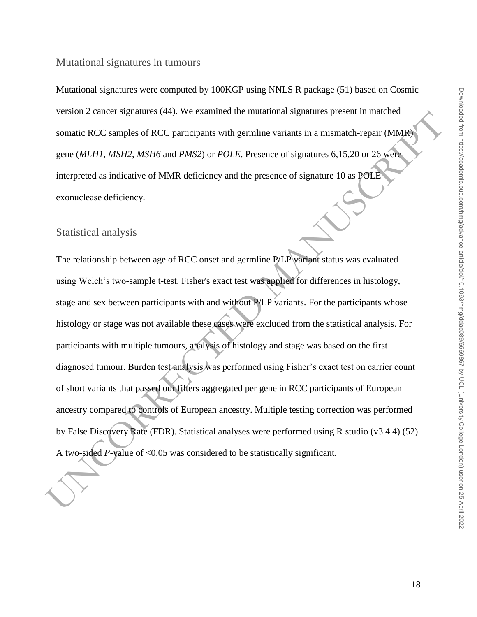Mutational signatures were computed by 100KGP using NNLS R package (51) based on Cosmic version 2 cancer signatures (44). We examined the mutational signatures present in matched somatic RCC samples of RCC participants with germline variants in a mismatch-repair (MMR) gene (*MLH1*, *MSH2*, *MSH6* and *PMS2*) or *POLE*. Presence of signatures 6,15,20 or 26 were interpreted as indicative of MMR deficiency and the presence of signature 10 as POLE exonuclease deficiency.

#### Statistical analysis

version z cancer signatures (44). We examined the mutatatonal signatures present in matched<br>somatic RCC samples of RCC participants with germline variants in a mismatch-repair (MMB)<br>gene (*MLH1, MSH2, MSH6* and *PMS2*) or The relationship between age of RCC onset and germline P/LP variant status was evaluated using Welch's two-sample t-test. Fisher's exact test was applied for differences in histology, stage and sex between participants with and without P/LP variants. For the participants whose histology or stage was not available these cases were excluded from the statistical analysis. For participants with multiple tumours, analysis of histology and stage was based on the first diagnosed tumour. Burden test analysis was performed using Fisher's exact test on carrier count of short variants that passed our filters aggregated per gene in RCC participants of European ancestry compared to controls of European ancestry. Multiple testing correction was performed by False Discovery Rate (FDR). Statistical analyses were performed using R studio (v3.4.4) (52). A two-sided *P*-value of <0.05 was considered to be statistically significant.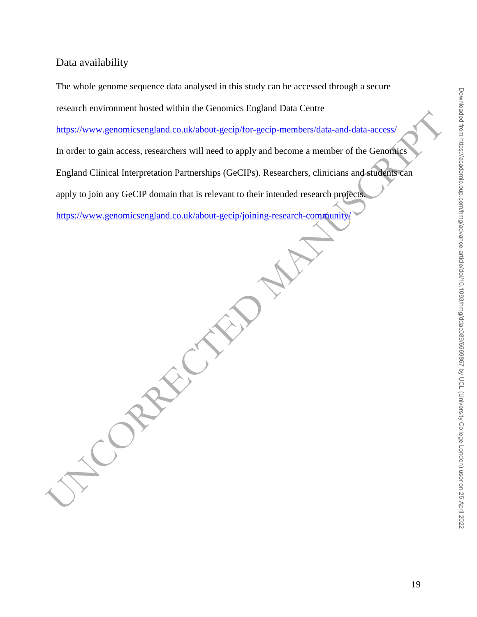#### Data availability

The whole genome sequence data analysed in this study can be accessed through a secure

research environment hosted within the Genomics England Data Centre

https://www.genomicsengland.co.uk/about-gecip/for-gecip-members/data-and-data-access/

Fitters://www.genomicsengland.co.uk/about-gecip/for-gecip members/data-and-data-access/<br>
In order to gain access, researchers will need to apply and become a member of the Genoming<br>
England Clinical Interpretation Partners In order to gain access, researchers will need to apply and become a member of the Genomics

England Clinical Interpretation Partnerships (GeCIPs). Researchers, clinicians and students can

apply to join any GeCIP domain that is relevant to their intended research projects.

https://www.genomicsengland.co.uk/about-gecip/joining-research-community/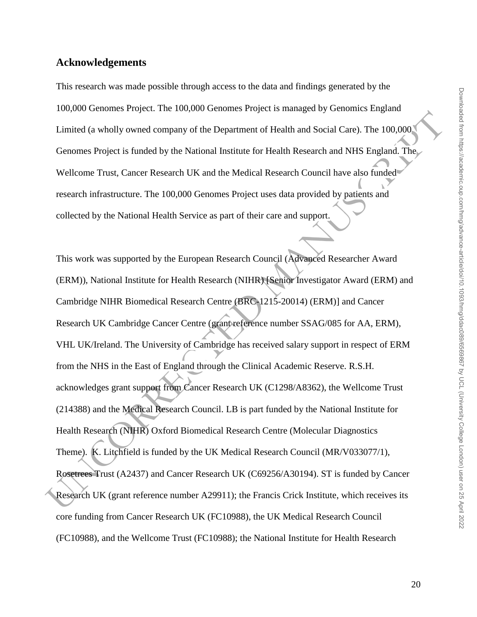#### **Acknowledgements**

This research was made possible through access to the data and findings generated by the 100,000 Genomes Project. The 100,000 Genomes Project is managed by Genomics England Limited (a wholly owned company of the Department of Health and Social Care). The 100,000 Genomes Project is funded by the National Institute for Health Research and NHS England. The Wellcome Trust, Cancer Research UK and the Medical Research Council have also funded research infrastructure. The 100,000 Genomes Project uses data provided by patients and collected by the National Health Service as part of their care and support.

Founded Cambridge Conner Frederic (Endificial Research Connel MRV0330771).<br>
Rosemess-Trust (Associal Care) The Donation of Health and Social Care). The D00,000<br>
Genomes Project is funded by the National Institute for Healt This work was supported by the European Research Council (Advanced Researcher Award (ERM)), National Institute for Health Research (NIHR) [Senior Investigator Award (ERM) and Cambridge NIHR Biomedical Research Centre (BRC-1215-20014) (ERM)] and Cancer Research UK Cambridge Cancer Centre (grant reference number SSAG/085 for AA, ERM), VHL UK/Ireland. The University of Cambridge has received salary support in respect of ERM from the NHS in the East of England through the Clinical Academic Reserve. R.S.H. acknowledges grant support from Cancer Research UK (C1298/A8362), the Wellcome Trust (214388) and the Medical Research Council. LB is part funded by the National Institute for Health Research (NIHR) Oxford Biomedical Research Centre (Molecular Diagnostics Theme). K. Litchfield is funded by the UK Medical Research Council (MR/V033077/1), Rosetrees Trust (A2437) and Cancer Research UK (C69256/A30194). ST is funded by Cancer Research UK (grant reference number A29911); the Francis Crick Institute, which receives its core funding from Cancer Research UK (FC10988), the UK Medical Research Council (FC10988), and the Wellcome Trust (FC10988); the National Institute for Health Research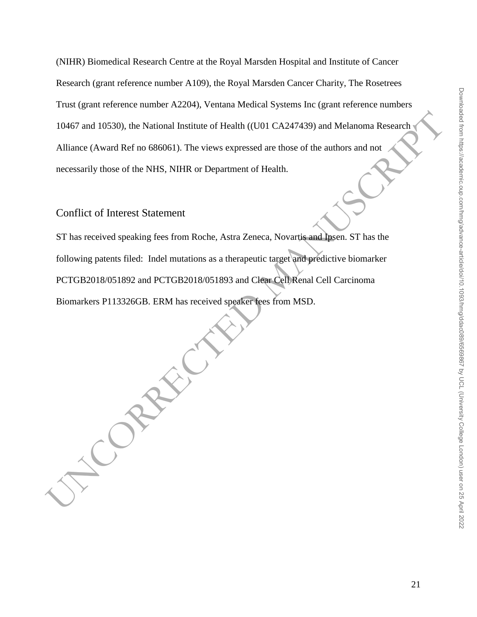(NIHR) Biomedical Research Centre at the Royal Marsden Hospital and Institute of Cancer Research (grant reference number A109), the Royal Marsden Cancer Charity, The Rosetrees Trust (grant reference number A2204), Ventana Medical Systems Inc (grant reference numbers 10467 and 10530), the National Institute of Health ((U01 CA247439) and Melanoma Research Alliance (Award Ref no 686061). The views expressed are those of the authors and not necessarily those of the NHS, NIHR or Department of Health.

#### Conflict of Interest Statement

ST has received speaking fees from Roche, Astra Zeneca, Novartis and Ipsen. ST has the following patents filed: Indel mutations as a therapeutic target and predictive biomarker PCTGB2018/051892 and PCTGB2018/051893 and Clear Cell Renal Cell Carcinoma Biomarkers P113326GB. ERM has received speaker fees from MSD.

10467 and 10530), the National Institute of Health ((UDI CA247439) and Melanoma Research<br>
Alliance (Award Ref no 686061). The views expressed are those of the authors and not<br>
necessarily those of the NHS, NIHR or Departme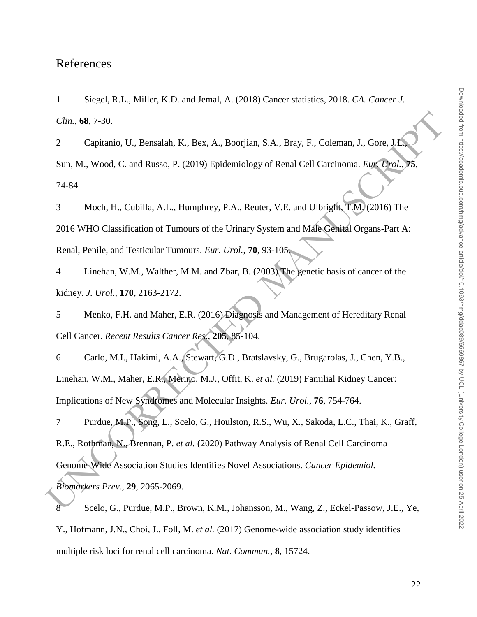### References

1 Siegel, R.L., Miller, K.D. and Jemal, A. (2018) Cancer statistics, 2018. *CA. Cancer J. Clin.*, **68**, 7-30.

2 Capitanio, U., Bensalah, K., Bex, A., Boorjian, S.A., Bray, F., Coleman, J., Gore, J.L., Sun, M., Wood, C. and Russo, P. (2019) Epidemiology of Renal Cell Carcinoma. *Eur. Urol.*, **75**, 74-84.

3 Moch, H., Cubilla, A.L., Humphrey, P.A., Reuter, V.E. and Ulbright, T.M. (2016) The 2016 WHO Classification of Tumours of the Urinary System and Male Genital Organs-Part A: Renal, Penile, and Testicular Tumours. *Eur. Urol.*, **70**, 93-105.

4 Linehan, W.M., Walther, M.M. and Zbar, B. (2003) The genetic basis of cancer of the kidney. *J. Urol.*, **170**, 2163-2172.

5 Menko, F.H. and Maher, E.R. (2016) Diagnosis and Management of Hereditary Renal Cell Cancer. *Recent Results Cancer Res.*, **205**, 85-104.

6 Carlo, M.I., Hakimi, A.A., Stewart, G.D., Bratslavsky, G., Brugarolas, J., Chen, Y.B., Linehan, W.M., Maher, E.R., Merino, M.J., Offit, K. *et al.* (2019) Familial Kidney Cancer: Implications of New Syndromes and Molecular Insights. *Eur. Urol.*, **76**, 754-764.

Clin., 68, 7-30.<br>
Capitario, U., Bensalah, K., Bex, A., Boorjian, S.A., Bray, F., Coleman, J., Gore, J. S.<br>
Sun, M., Wood, C. and Russo, P. (2019) Epidemiology of Renal Cell Carcinoma. *F.us Dend, 78*, 74-84.<br>
3 Moch, H., 7 Purdue, M.P., Song, L., Scelo, G., Houlston, R.S., Wu, X., Sakoda, L.C., Thai, K., Graff, R.E., Rothman, N., Brennan, P. *et al.* (2020) Pathway Analysis of Renal Cell Carcinoma Genome-Wide Association Studies Identifies Novel Associations. *Cancer Epidemiol.*

*Biomarkers Prev.*, **29**, 2065-2069.

8 Scelo, G., Purdue, M.P., Brown, K.M., Johansson, M., Wang, Z., Eckel-Passow, J.E., Ye, Y., Hofmann, J.N., Choi, J., Foll, M. *et al.* (2017) Genome-wide association study identifies multiple risk loci for renal cell carcinoma. *Nat. Commun.*, **8**, 15724.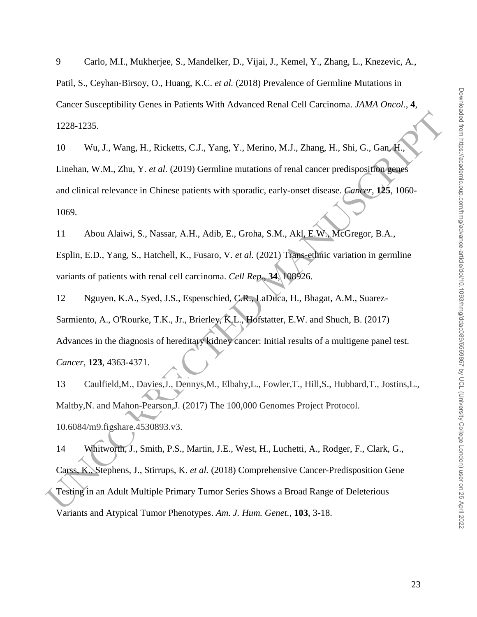9 Carlo, M.I., Mukherjee, S., Mandelker, D., Vijai, J., Kemel, Y., Zhang, L., Knezevic, A., Patil, S., Ceyhan-Birsoy, O., Huang, K.C. *et al.* (2018) Prevalence of Germline Mutations in Cancer Susceptibility Genes in Patients With Advanced Renal Cell Carcinoma. *JAMA Oncol.*, **4**, 1228-1235.

1228-1235.<br>
10 Wu, J., Wang, H., Ricketts, C.J., Yang, Y., Merino, M.J., Zhang, H., Shi, G., Gan. H., Then<br>
1. The han, W.M., Zhu, Y. et al. (2019) Germline mutations of renal cancer predisposition segment<br>
and clinical r 10 Wu, J., Wang, H., Ricketts, C.J., Yang, Y., Merino, M.J., Zhang, H., Shi, G., Gan, H., Linehan, W.M., Zhu, Y. *et al.* (2019) Germline mutations of renal cancer predisposition genes and clinical relevance in Chinese patients with sporadic, early-onset disease. *Cancer*, **125**, 1060- 1069.

11 Abou Alaiwi, S., Nassar, A.H., Adib, E., Groha, S.M., Akl, E.W., McGregor, B.A.,

Esplin, E.D., Yang, S., Hatchell, K., Fusaro, V. *et al.* (2021) Trans-ethnic variation in germline variants of patients with renal cell carcinoma. *Cell Rep.*, **34**, 108926.

12 Nguyen, K.A., Syed, J.S., Espenschied, C.R., LaDuca, H., Bhagat, A.M., Suarez-Sarmiento, A., O'Rourke, T.K., Jr., Brierley, K.L., Hofstatter, E.W. and Shuch, B. (2017) Advances in the diagnosis of hereditary kidney cancer: Initial results of a multigene panel test. *Cancer*, **123**, 4363-4371.

13 Caulfield,M., Davies,J., Dennys,M., Elbahy,L., Fowler,T., Hill,S., Hubbard,T., Jostins,L., Maltby,N. and Mahon-Pearson,J. (2017) The 100,000 Genomes Project Protocol. 10.6084/m9.figshare.4530893.v3.

14 Whitworth, J., Smith, P.S., Martin, J.E., West, H., Luchetti, A., Rodger, F., Clark, G., Carss, K., Stephens, J., Stirrups, K. *et al.* (2018) Comprehensive Cancer-Predisposition Gene Testing in an Adult Multiple Primary Tumor Series Shows a Broad Range of Deleterious Variants and Atypical Tumor Phenotypes. *Am. J. Hum. Genet.*, **103**, 3-18.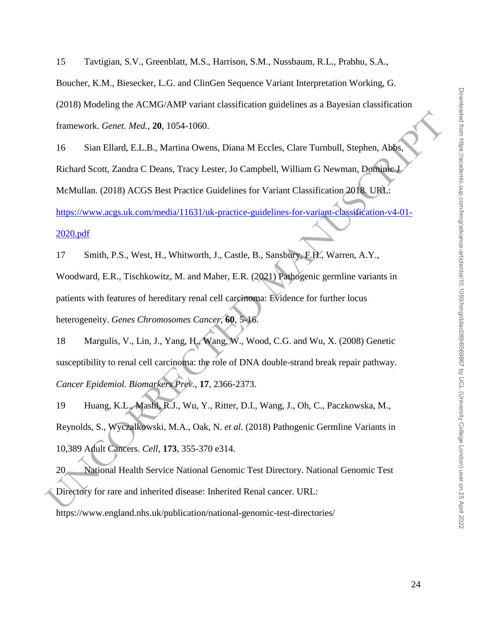15 Tavtigian, S.V., Greenblatt, M.S., Harrison, S.M., Nussbaum, R.L., Prabhu, S.A.,

Boucher, K.M., Biesecker, L.G. and ClinGen Sequence Variant Interpretation Working, G.

(2018) Modeling the ACMG/AMP variant classification guidelines as a Bayesian classification

framework. *Genet. Med.*, **20**, 1054-1060.

Framework. Genet. Med., 20, 1054-1060.<br>
16 Sian Ellard, E.L.B., Martina Owens, Diana M Eccles, Clare Turnbull, Stephen, Abbes<br>
Richard Scott, Zandra C Deans, Tracy Lester, Jo Campbell, William G Newman, Domined<br>
McMullan, 16 Sian Ellard, E.L.B., Martina Owens, Diana M Eccles, Clare Turnbull, Stephen, Abbs, Richard Scott, Zandra C Deans, Tracy Lester, Jo Campbell, William G Newman, Dominic J McMullan. (2018) ACGS Best Practice Guidelines for Variant Classification 2018. URL: https://www.acgs.uk.com/media/11631/uk-practice-guidelines-for-variant-classification-v4-01-

#### 2020.pdf

17 Smith, P.S., West, H., Whitworth, J., Castle, B., Sansbury, F.H., Warren, A.Y., Woodward, E.R., Tischkowitz, M. and Maher, E.R. (2021) Pathogenic germline variants in patients with features of hereditary renal cell carcinoma: Evidence for further locus heterogeneity. *Genes Chromosomes Cancer*, **60**, 5-16.

18 Margulis, V., Lin, J., Yang, H., Wang, W., Wood, C.G. and Wu, X. (2008) Genetic susceptibility to renal cell carcinoma: the role of DNA double-strand break repair pathway. *Cancer Epidemiol. Biomarkers Prev.*, **17**, 2366-2373.

19 Huang, K.L., Mashl, R.J., Wu, Y., Ritter, D.I., Wang, J., Oh, C., Paczkowska, M., Reynolds, S., Wyczalkowski, M.A., Oak, N. *et al.* (2018) Pathogenic Germline Variants in 10,389 Adult Cancers. *Cell*, **173**, 355-370 e314.

20 National Health Service National Genomic Test Directory. National Genomic Test Directory for rare and inherited disease: Inherited Renal cancer. URL: https://www.england.nhs.uk/publication/national-genomic-test-directories/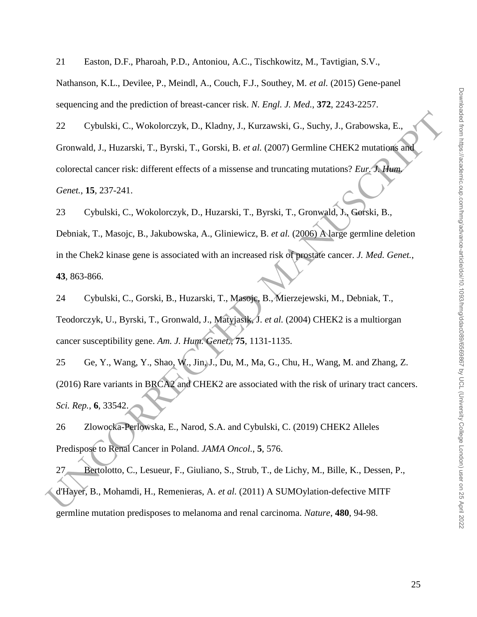21 Easton, D.F., Pharoah, P.D., Antoniou, A.C., Tischkowitz, M., Tavtigian, S.V.,

Nathanson, K.L., Devilee, P., Meindl, A., Couch, F.J., Southey, M. *et al.* (2015) Gene-panel sequencing and the prediction of breast-cancer risk. *N. Engl. J. Med.*, **372**, 2243-2257.

22 Cybulski, C., Wokolorczyk, D., Kladny, J., Kurzawski, G., Suchy, J., Grabowska, E., Gronwald, J., Huzarski, T., Byrski, T., Gorski, B. *et al.* (2007) Germline CHEK2 mutations and colorectal cancer risk: different effects of a missense and truncating mutations? *Eur. J. Hum. Genet.*, **15**, 237-241.

22 Cybulski, C., Wokolorczyk, D., Kladny, J., Kurzawski, G., Suchy, J., Grabowska, E.,<br>
Gronwald, J., Huzarski, T., Byrski, T., Gorski, B. et al. (2007) Germline CHEK2 mutations and<br>
colorectal enneer risk: different effe 23 Cybulski, C., Wokolorczyk, D., Huzarski, T., Byrski, T., Gronwald, J., Gorski, B., Debniak, T., Masojc, B., Jakubowska, A., Gliniewicz, B. *et al.* (2006) A large germline deletion in the Chek2 kinase gene is associated with an increased risk of prostate cancer. *J. Med. Genet.*, **43**, 863-866.

24 Cybulski, C., Gorski, B., Huzarski, T., Masojc, B., Mierzejewski, M., Debniak, T., Teodorczyk, U., Byrski, T., Gronwald, J., Matyjasik, J. *et al.* (2004) CHEK2 is a multiorgan cancer susceptibility gene. *Am. J. Hum. Genet.*, **75**, 1131-1135.

25 Ge, Y., Wang, Y., Shao, W., Jin, J., Du, M., Ma, G., Chu, H., Wang, M. and Zhang, Z. (2016) Rare variants in BRCA2 and CHEK2 are associated with the risk of urinary tract cancers. *Sci. Rep.*, **6**, 33542.

26 Zlowocka-Perlowska, E., Narod, S.A. and Cybulski, C. (2019) CHEK2 Alleles Predispose to Renal Cancer in Poland. *JAMA Oncol.*, **5**, 576.

27 Bertolotto, C., Lesueur, F., Giuliano, S., Strub, T., de Lichy, M., Bille, K., Dessen, P., d'Hayer, B., Mohamdi, H., Remenieras, A. *et al.* (2011) A SUMOylation-defective MITF germline mutation predisposes to melanoma and renal carcinoma. *Nature*, **480**, 94-98.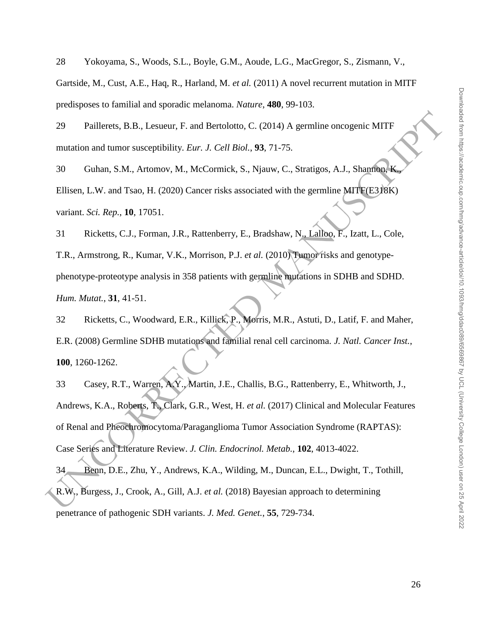28 Yokoyama, S., Woods, S.L., Boyle, G.M., Aoude, L.G., MacGregor, S., Zismann, V.,

Gartside, M., Cust, A.E., Haq, R., Harland, M. *et al.* (2011) A novel recurrent mutation in MITF predisposes to familial and sporadic melanoma. *Nature*, **480**, 99-103.

29 Paillerets, B.B., Lesueur, F. and Bertolotto, C. (2014) A germline oncogenic MITF mutation and tumor susceptibility. *Eur. J. Cell Biol.*, **93**, 71-75.

30 Guhan, S.M., Artomov, M., McCormick, S., Njauw, C., Stratigos, A.J., Shannon, K., Ellisen, L.W. and Tsao, H. (2020) Cancer risks associated with the germline MITF(E318K) variant. *Sci. Rep.*, **10**, 17051.

31 Ricketts, C.J., Forman, J.R., Rattenberry, E., Bradshaw, N., Lalloo, F., Izatt, L., Cole, T.R., Armstrong, R., Kumar, V.K., Morrison, P.J. *et al.* (2010) Tumor risks and genotypephenotype-proteotype analysis in 358 patients with germline mutations in SDHB and SDHD. *Hum. Mutat.*, **31**, 41-51.

32 Ricketts, C., Woodward, E.R., Killick, P., Morris, M.R., Astuti, D., Latif, F. and Maher, E.R. (2008) Germline SDHB mutations and familial renal cell carcinoma. *J. Natl. Cancer Inst.*, **100**, 1260-1262.

29 Paillerets, B.B., I asucur, F. and Bertolotto, C. (2014) A germline oneogenic MITF<br>mutation and tumor susceptibility. *Eur. J. Cell Biol.*, 93, 71-75.<br>
30 Guhan, S.M., Artomov, M., McCormick, S., Njauw, C., Stratigos, 33 Casey, R.T., Warren, A.Y., Martin, J.E., Challis, B.G., Rattenberry, E., Whitworth, J., Andrews, K.A., Roberts, T., Clark, G.R., West, H. *et al.* (2017) Clinical and Molecular Features of Renal and Pheochromocytoma/Paraganglioma Tumor Association Syndrome (RAPTAS): Case Series and Literature Review. *J. Clin. Endocrinol. Metab.*, **102**, 4013-4022.

34 Benn, D.E., Zhu, Y., Andrews, K.A., Wilding, M., Duncan, E.L., Dwight, T., Tothill, R.W., Burgess, J., Crook, A., Gill, A.J. *et al.* (2018) Bayesian approach to determining penetrance of pathogenic SDH variants. *J. Med. Genet.*, **55**, 729-734.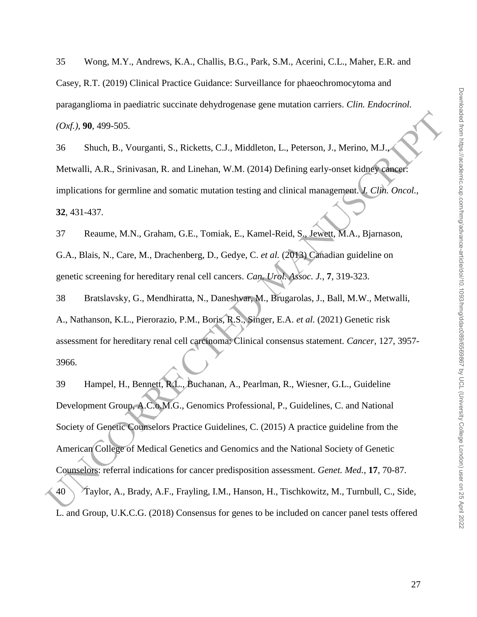35 Wong, M.Y., Andrews, K.A., Challis, B.G., Park, S.M., Acerini, C.L., Maher, E.R. and Casey, R.T. (2019) Clinical Practice Guidance: Surveillance for phaeochromocytoma and paraganglioma in paediatric succinate dehydrogenase gene mutation carriers. *Clin. Endocrinol. (Oxf.)*, **90**, 499-505.

36 Shuch, B., Vourganti, S., Ricketts, C.J., Middleton, L., Peterson, J., Merino, M.J., Metwalli, A.R., Srinivasan, R. and Linehan, W.M. (2014) Defining early-onset kidney cancer: implications for germline and somatic mutation testing and clinical management. *J. Clin. Oncol.*, **32**, 431-437.

37 Reaume, M.N., Graham, G.E., Tomiak, E., Kamel-Reid, S., Jewett, M.A., Bjarnason, G.A., Blais, N., Care, M., Drachenberg, D., Gedye, C. *et al.* (2013) Canadian guideline on genetic screening for hereditary renal cell cancers. *Can. Urol. Assoc. J.*, **7**, 319-323.

38 Bratslavsky, G., Mendhiratta, N., Daneshvar, M., Brugarolas, J., Ball, M.W., Metwalli, A., Nathanson, K.L., Pierorazio, P.M., Boris, R.S., Singer, E.A. *et al.* (2021) Genetic risk assessment for hereditary renal cell carcinoma: Clinical consensus statement. *Cancer*, 127, 3957- 3966.

(Olyf.), 90, 499-505.<br>
Stuch, B., Vourganti, S., Ricketts, C.J., Middleton, L., Peterson, J., Merino, M.J.<br>
Mervalli, A.R., Srinivasan, R. and Linchan, W.M. (2014) Defining early-onser kidage<br>
implications for germline an 39 Hampel, H., Bennett, R.L., Buchanan, A., Pearlman, R., Wiesner, G.L., Guideline Development Group, A.C.o.M.G., Genomics Professional, P., Guidelines, C. and National Society of Genetic Counselors Practice Guidelines, C. (2015) A practice guideline from the American College of Medical Genetics and Genomics and the National Society of Genetic Counselors: referral indications for cancer predisposition assessment. *Genet. Med.*, **17**, 70-87. 40 Taylor, A., Brady, A.F., Frayling, I.M., Hanson, H., Tischkowitz, M., Turnbull, C., Side, L. and Group, U.K.C.G. (2018) Consensus for genes to be included on cancer panel tests offered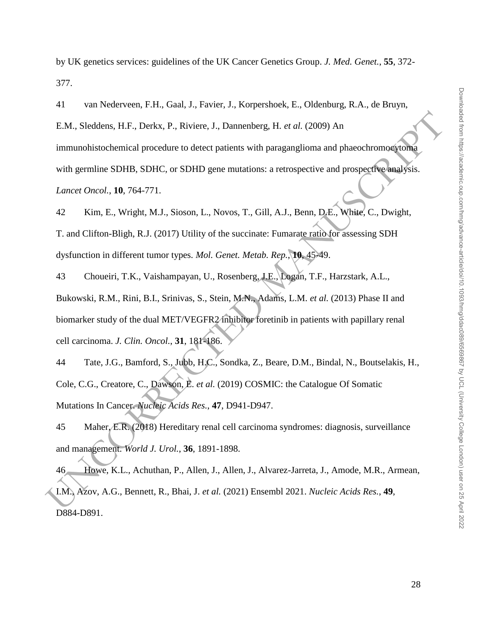by UK genetics services: guidelines of the UK Cancer Genetics Group. *J. Med. Genet.*, **55**, 372- 377.

41 van Nederveen, F.H., Gaal, J., Favier, J., Korpershoek, E., Oldenburg, R.A., de Bruyn,

E.M., Sleddens, H.F., Derkx, P., Riviere, J., Dannenberg, H. *et al.* (2009) An

immunohistochemical procedure to detect patients with paraganglioma and phaeochromocytoma

with germline SDHB, SDHC, or SDHD gene mutations: a retrospective and prospective analysis.

*Lancet Oncol.*, **10**, 764-771.

42 Kim, E., Wright, M.J., Sioson, L., Novos, T., Gill, A.J., Benn, D.E., White, C., Dwight, T. and Clifton-Bligh, R.J. (2017) Utility of the succinate: Fumarate ratio for assessing SDH dysfunction in different tumor types. *Mol. Genet. Metab. Rep.*, **10**, 45-49.

F.M., Sleddens, H.F., Derkx, P., Riviere, J., Damenberg, H. et al. (2009) An<br>
immunohistochemical procedure to detect potients with paragonglionna and phaeochromoaycoma<br>
with germline SDHB, SDHC, or SDHD gene muturions: a 43 Choueiri, T.K., Vaishampayan, U., Rosenberg, J.E., Logan, T.F., Harzstark, A.L., Bukowski, R.M., Rini, B.I., Srinivas, S., Stein, M.N., Adams, L.M. *et al.* (2013) Phase II and biomarker study of the dual MET/VEGFR2 inhibitor foretinib in patients with papillary renal cell carcinoma. *J. Clin. Oncol.*, **31**, 181-186.

44 Tate, J.G., Bamford, S., Jubb, H.C., Sondka, Z., Beare, D.M., Bindal, N., Boutselakis, H., Cole, C.G., Creatore, C., Dawson, E. *et al.* (2019) COSMIC: the Catalogue Of Somatic Mutations In Cancer. *Nucleic Acids Res.*, **47**, D941-D947.

45 Maher, E.R. (2018) Hereditary renal cell carcinoma syndromes: diagnosis, surveillance and management. *World J. Urol.*, **36**, 1891-1898.

46 Howe, K.L., Achuthan, P., Allen, J., Allen, J., Alvarez-Jarreta, J., Amode, M.R., Armean, I.M., Azov, A.G., Bennett, R., Bhai, J. *et al.* (2021) Ensembl 2021. *Nucleic Acids Res.*, **49**, D884-D891.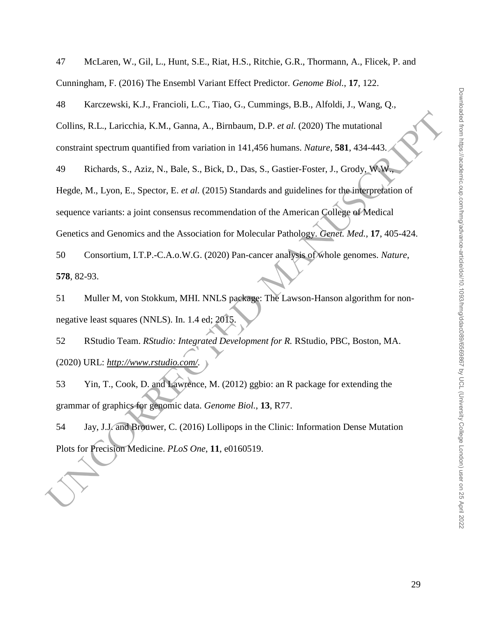47 McLaren, W., Gil, L., Hunt, S.E., Riat, H.S., Ritchie, G.R., Thormann, A., Flicek, P. and Cunningham, F. (2016) The Ensembl Variant Effect Predictor. *Genome Biol.*, **17**, 122.

48 Karczewski, K.J., Francioli, L.C., Tiao, G., Cummings, B.B., Alfoldi, J., Wang, Q.,

Collins, R.L., Laricchia, K.M., Ganna, A., Birnbaum, D.P. *et al.* (2020) The mutational constraint spectrum quantified from variation in 141,456 humans. *Nature*, **581**, 434-443.

49 Richards, S., Aziz, N., Bale, S., Bick, D., Das, S., Gastier-Foster, J., Grody, W.W.,

Collins, R.I., Lariechia, K.M., Ganna, A., Birnbaum, D.P. et al. (2020) The mutational<br>constraint spectrum quantified from variation in 141,456 humans. Notare, 581, 434-443.<br>49 Kichards, S., Aziz, N., Bale, S., Bick, D., Hegde, M., Lyon, E., Spector, E. *et al.* (2015) Standards and guidelines for the interpretation of sequence variants: a joint consensus recommendation of the American College of Medical Genetics and Genomics and the Association for Molecular Pathology. *Genet. Med.*, **17**, 405-424.

50 Consortium, I.T.P.-C.A.o.W.G. (2020) Pan-cancer analysis of whole genomes. *Nature*, **578**, 82-93.

51 Muller M, von Stokkum, MHI. NNLS package: The Lawson-Hanson algorithm for nonnegative least squares (NNLS). In. 1.4 ed; 2015.

52 RStudio Team. *RStudio: Integrated Development for R.* RStudio, PBC, Boston, MA. (2020) URL: *http://www.rstudio.com/.*

53 Yin, T., Cook, D. and Lawrence, M. (2012) ggbio: an R package for extending the grammar of graphics for genomic data. *Genome Biol.*, **13**, R77.

54 Jay, J.J. and Brouwer, C. (2016) Lollipops in the Clinic: Information Dense Mutation Plots for Precision Medicine. *PLoS One*, **11**, e0160519.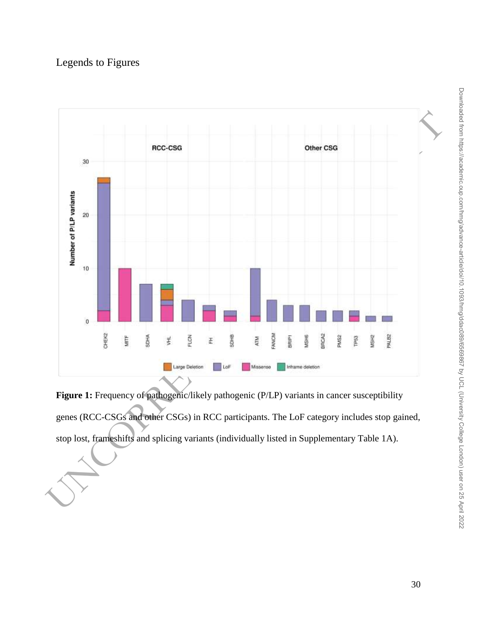# Legends to Figures



Figure 1: Frequency of pathogenic/likely pathogenic (P/LP) variants in cancer susceptibility genes (RCC-CSGs and other CSGs) in RCC participants. The LoF category includes stop gained, stop lost, frameshifts and splicing variants (individually listed in Supplementary Table 1A).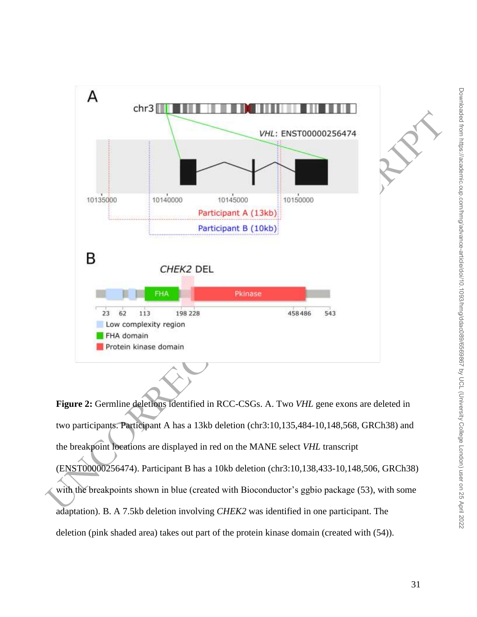

**Figure 2:** Germline deletions identified in RCC-CSGs. A. Two *VHL* gene exons are deleted in two participants. Participant A has a 13kb deletion (chr3:10,135,484-10,148,568, GRCh38) and the breakpoint locations are displayed in red on the MANE select *VHL* transcript (ENST00000256474). Participant B has a 10kb deletion (chr3:10,138,433-10,148,506, GRCh38) with the breakpoints shown in blue (created with Bioconductor's ggbio package (53), with some adaptation). B. A 7.5kb deletion involving *CHEK2* was identified in one participant. The deletion (pink shaded area) takes out part of the protein kinase domain (created with (54)).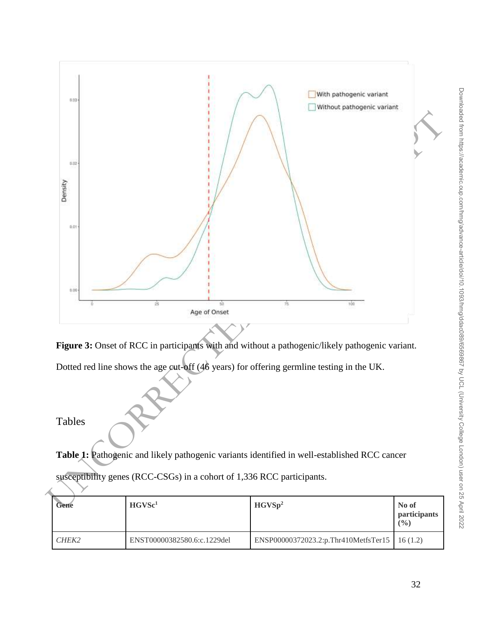



Dotted red line shows the age cut-off (46 years) for offering germline testing in the UK.

# Tables

Table 1: Pathogenic and likely pathogenic variants identified in well-established RCC cancer

| Gene  | HGVSc <sup>1</sup>          | HGVSp <sup>2</sup>                              | No of<br><i>participants</i><br>$($ %) |
|-------|-----------------------------|-------------------------------------------------|----------------------------------------|
| CHEK2 | ENST00000382580.6:c.1229del | ENSP00000372023.2:p.Thr410MetfsTer15   16 (1.2) |                                        |

susceptibility genes (RCC-CSGs) in a cohort of 1,336 RCC participants.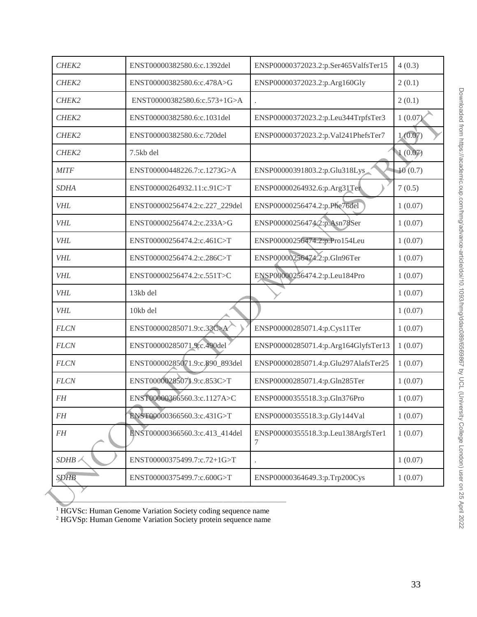| CHEK2       | ENST00000382580.6:c.1392del    | ENSP00000372023.2:p.Ser465ValfsTer15     | 4(0.3)  |
|-------------|--------------------------------|------------------------------------------|---------|
| CHEK2       | ENST00000382580.6:c.478A>G     | ENSP00000372023.2:p.Arg160Gly            | 2(0.1)  |
| CHEK2       | ENST00000382580.6:c.573+1G>A   |                                          | 2(0.1)  |
| CHEK2       | ENST00000382580.6:c.1031del    | ENSP00000372023.2:p.Leu344TrpfsTer3      | 1(0.07) |
| CHEK2       | ENST00000382580.6:c.720del     | ENSP00000372023.2:p.Val241PhefsTer7      | 1(0.07) |
| CHEK2       | 7.5kb del                      |                                          | 1(0.07) |
| <b>MITF</b> | ENST00000448226.7:c.1273G>A    | ENSP00000391803.2:p.Glu318Lys            | 10(0.7) |
| <b>SDHA</b> | ENST00000264932.11:c.91C>T     | ENSP00000264932.6:p.Arg31Ter             | 7(0.5)  |
| <b>VHL</b>  | ENST00000256474.2:c.227_229del | ENSP00000256474.2:p.Phe76del             | 1(0.07) |
| <b>VHL</b>  | ENST00000256474.2:c.233A>G     | ENSP00000256474.2:p.Asn78Ser             | 1(0.07) |
| <b>VHL</b>  | ENST00000256474.2:c.461C>T     | ENSP00000256474.2:p.Pro154Leu            | 1(0.07) |
| <b>VHL</b>  | ENST00000256474.2:c.286C>T     | ENSP00000256474.2:p.Gln96Ter             | 1(0.07) |
| <b>VHL</b>  | ENST00000256474.2:c.551T>C     | ENSP00000256474.2:p.Leu184Pro            | 1(0.07) |
| <b>VHL</b>  | 13kb del                       |                                          | 1(0.07) |
| <b>VHL</b>  | 10kb del                       |                                          | 1(0.07) |
| <b>FLCN</b> | ENST00000285071.9:c.33C>A      | ENSP00000285071.4:p.Cys11Ter             | 1(0.07) |
| <b>FLCN</b> | ENST00000285071.9:c.490del     | ENSP00000285071.4:p.Arg164GlyfsTer13     | 1(0.07) |
| <b>FLCN</b> | ENST00000285071.9:c.890_893del | ENSP00000285071.4:p.Glu297AlafsTer25     | 1(0.07) |
| <b>FLCN</b> | ENST0000028507].9:c.853C>T     | ENSP00000285071.4:p.Gln285Ter            | 1(0.07) |
| $F\!H$      | ENST00000366560.3:c.1127A>C    | ENSP00000355518.3:p.Gln376Pro            | 1(0.07) |
| <b>FH</b>   | ENST00000366560.3:c.431G>T     | ENSP00000355518.3:p.Gly144Val            | 1(0.07) |
| $F\!H$      | ENST00000366560.3:c.413_414del | ENSP00000355518.3:p.Leu138ArgfsTer1<br>7 | 1(0.07) |
| SDHB        | ENST00000375499.7:c.72+1G>T    |                                          | 1(0.07) |
| <b>SDHB</b> | ENST00000375499.7:c.600G>T     | ENSP00000364649.3:p.Trp200Cys            | 1(0.07) |

<sup>1</sup> HGVSc: Human Genome Variation Society coding sequence name

<sup>2</sup> HGVSp: Human Genome Variation Society protein sequence name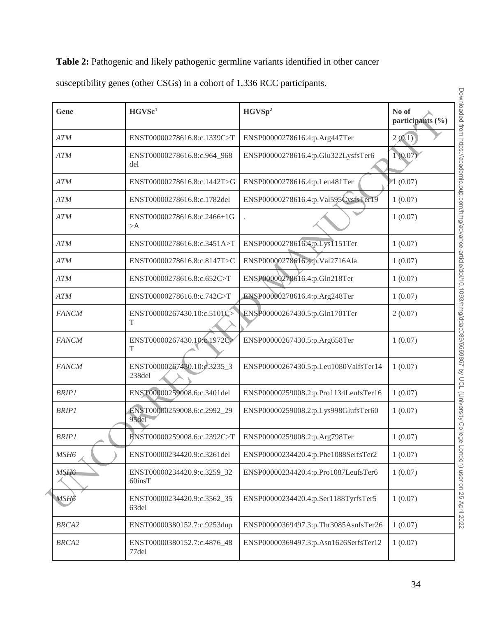# Table 2: Pathogenic and likely pathogenic germline variants identified in other cancer

| susceptibility genes (other CSGs) in a cohort of 1,336 RCC participants. |  |  |  |
|--------------------------------------------------------------------------|--|--|--|
|                                                                          |  |  |  |

| Gene              | HGVSc <sup>1</sup>                          | HGVSp <sup>2</sup>                    | No of<br>participants (%) |
|-------------------|---------------------------------------------|---------------------------------------|---------------------------|
| <b>ATM</b>        | ENST00000278616.8:c.1339C>T                 | ENSP00000278616.4:p.Arg447Ter         | 2(0.1)                    |
| <b>ATM</b>        | ENST00000278616.8:c.964_968<br>del          | ENSP00000278616.4:p.Glu322LysfsTer6   | 1(0.07)                   |
| <b>ATM</b>        | ENST00000278616.8:c.1442T>G                 | ENSP00000278616.4:p.Leu481Ter         | (0.07)                    |
| <b>ATM</b>        | ENST00000278616.8:c.1782del                 | ENSP00000278616.4:p.Val595CysfsTer19  | 1(0.07)                   |
| <b>ATM</b>        | ENST00000278616.8:c.2466+1G<br>>A           |                                       | 1(0.07)                   |
| <b>ATM</b>        | ENST00000278616.8:c.3451A>T                 | ENSP00000278616.4:p.Lys1151Ter        | 1(0.07)                   |
| <b>ATM</b>        | ENST00000278616.8:c.8147T>C                 | ENSP00000278616.4:p.Val2716Ala        | 1(0.07)                   |
| <b>ATM</b>        | ENST00000278616.8:c.652C>T                  | ENSP00000278616.4:p.Gln218Ter         | 1(0.07)                   |
| <b>ATM</b>        | ENST00000278616.8:c.742C>T                  | ENSP00000278616.4:p.Arg248Ter         | 1(0.07)                   |
| <b>FANCM</b>      | ENST00000267430.10:c.5101C><br>T            | ENSP00000267430.5:p.Gln1701Ter        | 2(0.07)                   |
| <b>FANCM</b>      | ENST00000267430.10:c.1972C><br>T            | ENSP00000267430.5:p.Arg658Ter         | 1(0.07)                   |
| <b>FANCM</b>      | ENST00000267430.10:e.3235_3<br>238del       | ENSP00000267430.5:p.Leu1080ValfsTer14 | 1(0.07)                   |
| <b>BRIP1</b>      | ENST00000259008.6:c.3401del                 | ENSP00000259008.2:p.Pro1134LeufsTer16 | 1(0.07)                   |
| <b>BRIP1</b>      | ENST00000259008.6:c.2992_29<br>95del        | ENSP00000259008.2:p.Lys998GlufsTer60  | 1(0.07)                   |
| <b>BRIP1</b>      | ENST00000259008.6:c.2392C>T                 | ENSP00000259008.2:p.Arg798Ter         | 1(0.07)                   |
| MSH <sub>6</sub>  | ENST00000234420.9:c.3261del                 | ENSP00000234420.4:p.Phe1088SerfsTer2  | 1(0.07)                   |
| MSH <sub>6</sub>  | ENST00000234420.9:c.3259_32<br>$60$ ins $T$ | ENSP00000234420.4:p.Pro1087LeufsTer6  | 1(0.07)                   |
| MSH <sub>6</sub>  | ENST00000234420.9:c.3562_35<br>63del        | ENSP00000234420.4:p.Ser1188TyrfsTer5  | 1(0.07)                   |
| BRCA <sub>2</sub> | ENST00000380152.7:c.9253dup                 | ENSP00000369497.3:p.Thr3085AsnfsTer26 | 1(0.07)                   |
| <b>BRCA2</b>      | ENST00000380152.7:c.4876_48<br>77del        | ENSP00000369497.3:p.Asn1626SerfsTer12 | 1(0.07)                   |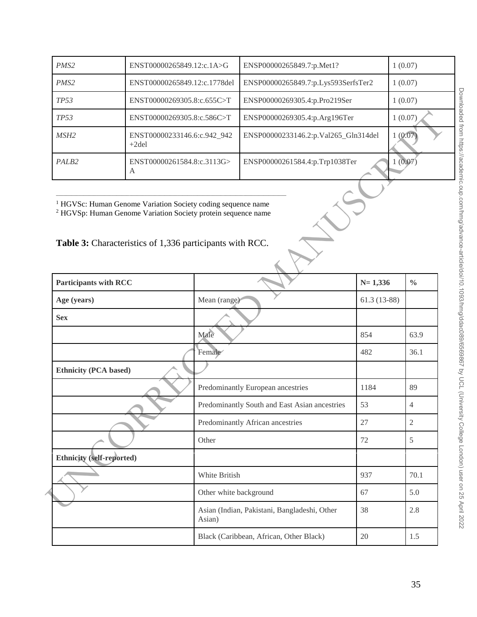| PMS <sub>2</sub>  | ENST00000265849.12:c.1A>G               | ENSP00000265849.7:p.Met1?            | 1(0.07) |
|-------------------|-----------------------------------------|--------------------------------------|---------|
| PMS <sub>2</sub>  | ENST00000265849.12:c.1778del            | ENSP00000265849.7:p.Lys593SerfsTer2  | 1(0.07) |
| <i>TP53</i>       | ENST00000269305.8:c.655C>T              | ENSP00000269305.4:p.Pro219Ser        | 1(0.07) |
| <i>TP53</i>       | ENST00000269305.8:c.586C>T              | ENSP00000269305.4:p.Arg196Ter        | 1(0.07) |
| MSH2              | ENST00000233146.6:c.942_942<br>$+2$ del | ENSP00000233146.2:p.Val265_Gln314del | 1(0.07) |
| PALB <sub>2</sub> | ENST00000261584.8:c.3113G><br>A         | ENSP00000261584.4:p.Trp1038Ter       | (0.07)  |

# Table 3: Characteristics of 1,336 participants with RCC.

| <b>TP53</b>                                                                                                                                                                                                     | ENST00000269305.8:c.586C>T             |                        | ENSP00000269305.4:p.Arg196Ter                 |               | 1(0.07)        |
|-----------------------------------------------------------------------------------------------------------------------------------------------------------------------------------------------------------------|----------------------------------------|------------------------|-----------------------------------------------|---------------|----------------|
| MSH <sub>2</sub>                                                                                                                                                                                                | ENST00000233146.6:c.942_942<br>$+2del$ |                        | ENSP00000233146.2:p.Val265_Gln314del          |               | 1(0.07)        |
| PALB2                                                                                                                                                                                                           | ENST00000261584.8:c.3113G><br>A        |                        | ENSP00000261584.4:p.Trp1038Ter                |               | 1(0.07)        |
| <sup>1</sup> HGVSc: Human Genome Variation Society coding sequence name<br><sup>2</sup> HGVSp: Human Genome Variation Society protein sequence name<br>Table 3: Characteristics of 1,336 participants with RCC. |                                        |                        |                                               |               |                |
| <b>Participants with RCC</b>                                                                                                                                                                                    |                                        |                        |                                               | $N = 1,336$   | $\frac{0}{0}$  |
| Age (years)                                                                                                                                                                                                     |                                        | Mean (range)           |                                               | $61.3(13-88)$ |                |
| <b>Sex</b>                                                                                                                                                                                                      |                                        |                        |                                               |               |                |
|                                                                                                                                                                                                                 |                                        | Male                   |                                               | 854           | 63.9           |
|                                                                                                                                                                                                                 |                                        | Female <sup></sup>     |                                               | 482           | 36.1           |
| <b>Ethnicity (PCA based)</b>                                                                                                                                                                                    |                                        |                        |                                               |               |                |
|                                                                                                                                                                                                                 |                                        |                        | Predominantly European ancestries             | 1184          | 89             |
|                                                                                                                                                                                                                 |                                        |                        | Predominantly South and East Asian ancestries | 53            | $\overline{4}$ |
|                                                                                                                                                                                                                 |                                        |                        | Predominantly African ancestries              | 27            | 2              |
|                                                                                                                                                                                                                 |                                        | Other                  |                                               | 72            | 5              |
| <b>Ethnicity (self-reported)</b>                                                                                                                                                                                |                                        |                        |                                               |               |                |
|                                                                                                                                                                                                                 |                                        | White British          |                                               | 937           | 70.1           |
|                                                                                                                                                                                                                 |                                        | Other white background |                                               | 67            | 5.0            |
|                                                                                                                                                                                                                 |                                        | Asian)                 | Asian (Indian, Pakistani, Bangladeshi, Other  | 38            | 2.8            |
|                                                                                                                                                                                                                 |                                        |                        |                                               |               |                |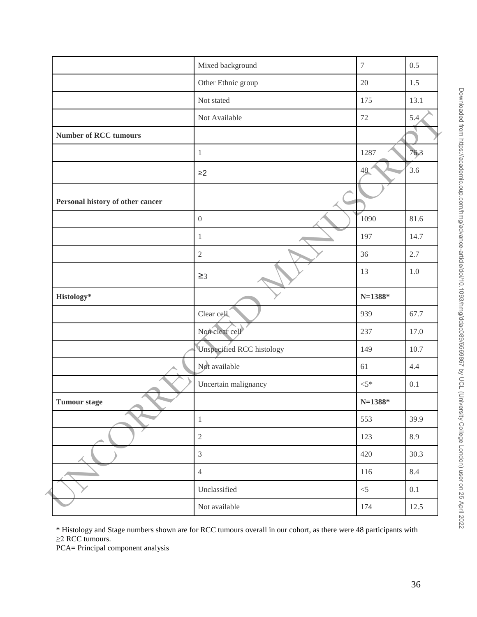|                                  | Mixed background          | 7           | 0.5     |
|----------------------------------|---------------------------|-------------|---------|
|                                  | Other Ethnic group        | 20          | 1.5     |
|                                  | Not stated                | 175         | 13.1    |
|                                  | Not Available             | $72\,$      | 5.4     |
| <b>Number of RCC tumours</b>     |                           |             |         |
|                                  | $1\,$                     | 1287        | 76,3    |
|                                  | $\geq$ 2                  | 48.         | 3.6     |
| Personal history of other cancer |                           |             |         |
|                                  | $\boldsymbol{0}$          | 1090        | 81.6    |
|                                  | $\mathbf{1}$              | 197         | 14.7    |
|                                  | $\overline{2}$            | 36          | 2.7     |
|                                  | $\geq$ 3                  | 13          | $1.0\,$ |
| Histology*                       |                           | $N = 1388*$ |         |
|                                  | Clear cell                | 939         | 67.7    |
|                                  | Non clear cell            | 237         | 17.0    |
|                                  |                           |             |         |
|                                  | Unspecified RCC histology | 149         | 10.7    |
|                                  | Not available             | 61          | 4.4     |
|                                  | Uncertain malignancy      | $< 5*$      | 0.1     |
| <b>Tumour stage</b>              |                           | $N = 1388*$ |         |
|                                  | $\,1$                     | 553         | 39.9    |
|                                  | $\sqrt{2}$                | 123         | 8.9     |
|                                  | $\mathfrak{Z}$            | 420         | 30.3    |
|                                  | $\overline{4}$            | 116         | 8.4     |
|                                  | Unclassified              | $<$ 5       | 0.1     |

\* Histology and Stage numbers shown are for RCC tumours overall in our cohort, as there were 48 participants with ≥2 RCC tumours.

PCA= Principal component analysis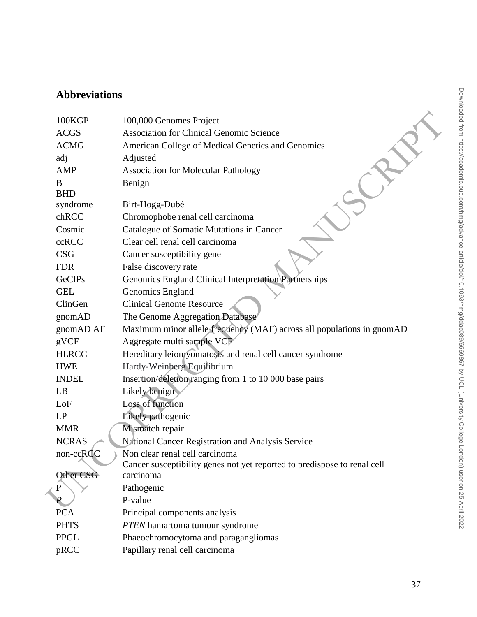# **Abbreviations**

|               | 100,000 Genomes Project                                                                                        |
|---------------|----------------------------------------------------------------------------------------------------------------|
| <b>ACGS</b>   | <b>Association for Clinical Genomic Science</b>                                                                |
| <b>ACMG</b>   | American College of Medical Genetics and Genomics                                                              |
| adj           | Adjusted                                                                                                       |
| AMP           | <b>Association for Molecular Pathology</b>                                                                     |
| B             | Benign                                                                                                         |
|               |                                                                                                                |
|               | Birt-Hogg-Dubé                                                                                                 |
|               | Chromophobe renal cell carcinoma                                                                               |
|               | Catalogue of Somatic Mutations in Cancer                                                                       |
|               | Clear cell renal cell carcinoma                                                                                |
| <b>CSG</b>    | Cancer susceptibility gene                                                                                     |
| <b>FDR</b>    | False discovery rate                                                                                           |
| <b>GeCIPs</b> | Genomics England Clinical Interpretation Partnerships                                                          |
| <b>GEL</b>    | Genomics England                                                                                               |
| ClinGen       | <b>Clinical Genome Resource</b>                                                                                |
| gnomAD        | The Genome Aggregation Database                                                                                |
| gnomAD AF     | Maximum minor allele frequency (MAF) across all populations in gnomAD                                          |
| gVCF          | Aggregate multi sample VCF                                                                                     |
| <b>HLRCC</b>  | Hereditary leiomyomatosis and renal cell cancer syndrome                                                       |
| <b>HWE</b>    | Hardy-Weinberg Equilibrium                                                                                     |
| <b>INDEL</b>  | Insertion/deletion/ranging from 1 to 10 000 base pairs                                                         |
| LB            | Likely benign                                                                                                  |
| LoF           | Loss of function                                                                                               |
| LP            | Likely pathogenic                                                                                              |
| <b>MMR</b>    | Mismatch repair                                                                                                |
| <b>NCRAS</b>  | National Cancer Registration and Analysis Service                                                              |
| non-ccRCC     | Non clear renal cell carcinoma                                                                                 |
|               | Cancer susceptibility genes not yet reported to predispose to renal cell                                       |
|               | carcinoma                                                                                                      |
|               | Pathogenic                                                                                                     |
|               | P-value                                                                                                        |
|               | Principal components analysis                                                                                  |
| <b>PHTS</b>   | PTEN hamartoma tumour syndrome                                                                                 |
| <b>PPGL</b>   | Phaeochromocytoma and paragangliomas                                                                           |
| pRCC          | Papillary renal cell carcinoma                                                                                 |
|               | 100KGP<br><b>BHD</b><br>syndrome<br>chRCC<br>Cosmic<br>ccRCC<br>Other CSG<br>P<br>$\overline{P}$<br><b>PCA</b> |